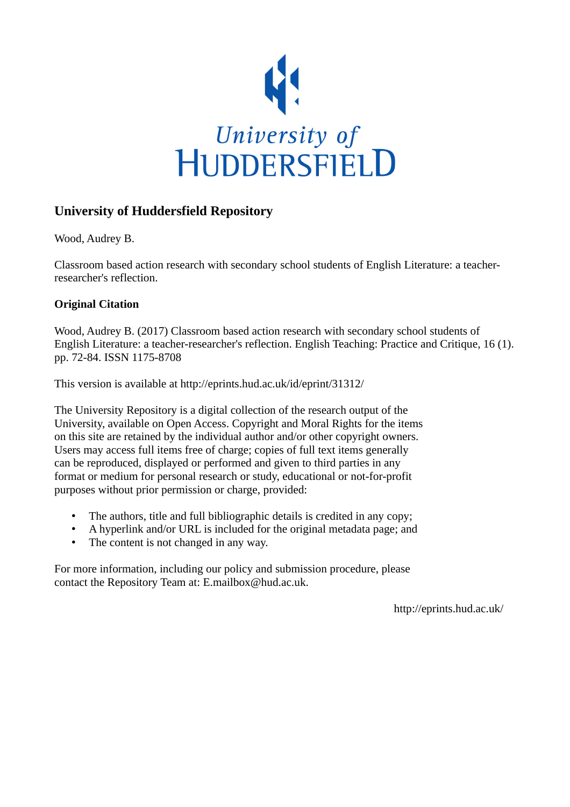

## **University of Huddersfield Repository**

Wood, Audrey B.

Classroom based action research with secondary school students of English Literature: a teacherresearcher's reflection.

### **Original Citation**

Wood, Audrey B. (2017) Classroom based action research with secondary school students of English Literature: a teacher-researcher's reflection. English Teaching: Practice and Critique, 16 (1). pp. 72-84. ISSN 1175-8708

This version is available at http://eprints.hud.ac.uk/id/eprint/31312/

The University Repository is a digital collection of the research output of the University, available on Open Access. Copyright and Moral Rights for the items on this site are retained by the individual author and/or other copyright owners. Users may access full items free of charge; copies of full text items generally can be reproduced, displayed or performed and given to third parties in any format or medium for personal research or study, educational or not-for-profit purposes without prior permission or charge, provided:

- The authors, title and full bibliographic details is credited in any copy;
- A hyperlink and/or URL is included for the original metadata page; and
- The content is not changed in any way.

For more information, including our policy and submission procedure, please contact the Repository Team at: E.mailbox@hud.ac.uk.

http://eprints.hud.ac.uk/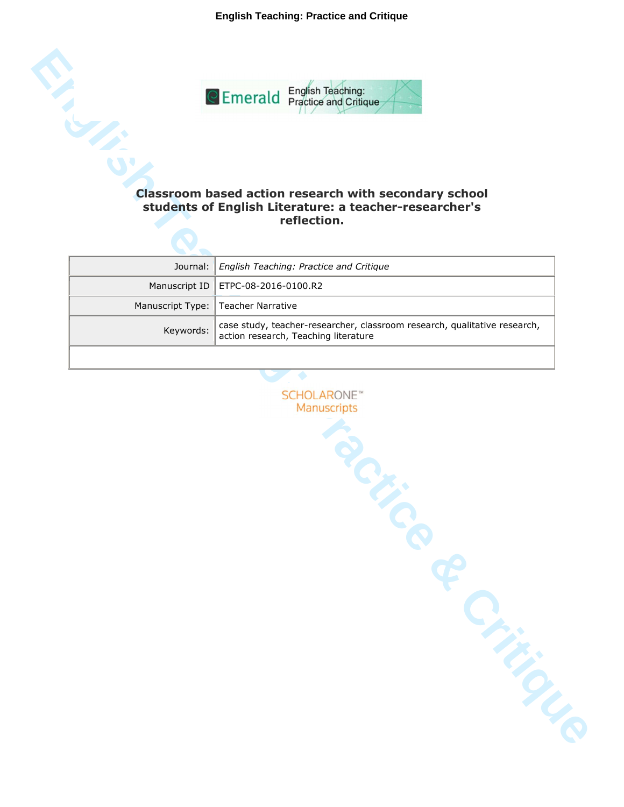**English Teaching: Practice and Critique**



# **students of English Literature: a teacher-researcher's reflection.**

| Journal:   English Teaching: Practice and Critique                                                                                  |
|-------------------------------------------------------------------------------------------------------------------------------------|
| Manuscript ID   ETPC-08-2016-0100.R2                                                                                                |
| Manuscript Type:   Teacher Narrative                                                                                                |
| case study, teacher-researcher, classroom research, qualitative research,<br>Keywords: $\vert$ action research, Teaching literature |
|                                                                                                                                     |

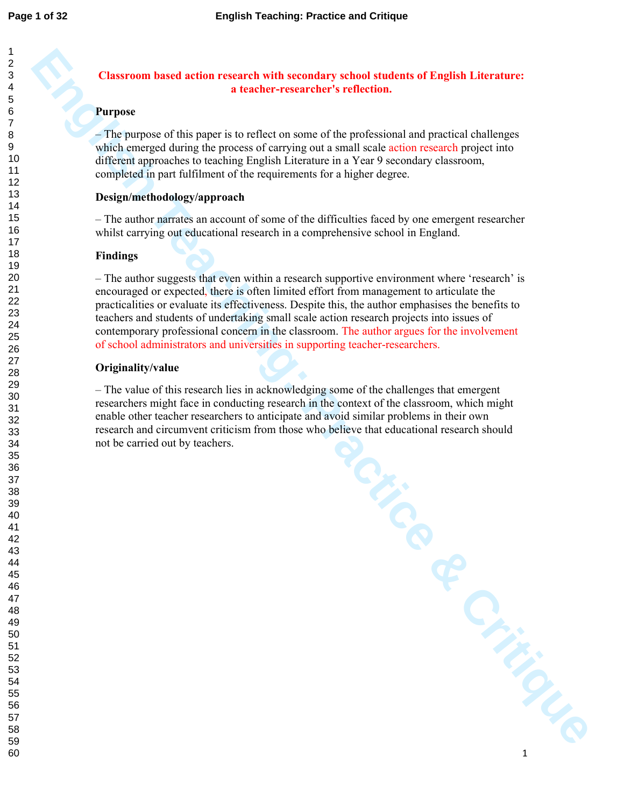### **Classroom based action research with secondary school students of English Literature: a teacher-researcher's reflection.**

### **Purpose**

#### **Design/methodology/approach**

### **Findings**

### **Originality/value**

|                                 | <b>Classroom based action research with secondary school students of English Literature:</b><br>a teacher-researcher's reflection.                                                                                                                                                                                                                                                                                                                                                                                                                                    |
|---------------------------------|-----------------------------------------------------------------------------------------------------------------------------------------------------------------------------------------------------------------------------------------------------------------------------------------------------------------------------------------------------------------------------------------------------------------------------------------------------------------------------------------------------------------------------------------------------------------------|
| <b>Purpose</b>                  |                                                                                                                                                                                                                                                                                                                                                                                                                                                                                                                                                                       |
|                                 | - The purpose of this paper is to reflect on some of the professional and practical challenges<br>which emerged during the process of carrying out a small scale action research project into<br>different approaches to teaching English Literature in a Year 9 secondary classroom,<br>completed in part fulfilment of the requirements for a higher degree.                                                                                                                                                                                                        |
| Design/methodology/approach     |                                                                                                                                                                                                                                                                                                                                                                                                                                                                                                                                                                       |
|                                 | - The author narrates an account of some of the difficulties faced by one emergent researcher<br>whilst carrying out educational research in a comprehensive school in England.                                                                                                                                                                                                                                                                                                                                                                                       |
| <b>Findings</b>                 |                                                                                                                                                                                                                                                                                                                                                                                                                                                                                                                                                                       |
|                                 | - The author suggests that even within a research supportive environment where 'research' is<br>encouraged or expected, there is often limited effort from management to articulate the<br>practicalities or evaluate its effectiveness. Despite this, the author emphasises the benefits to<br>teachers and students of undertaking small scale action research projects into issues of<br>contemporary professional concern in the classroom. The author argues for the involvement<br>of school administrators and universities in supporting teacher-researchers. |
| Originality/value               |                                                                                                                                                                                                                                                                                                                                                                                                                                                                                                                                                                       |
| not be carried out by teachers. | - The value of this research lies in acknowledging some of the challenges that emergent<br>researchers might face in conducting research in the context of the classroom, which might<br>enable other teacher researchers to anticipate and avoid similar problems in their own<br>research and circumvent criticism from those who believe that educational research should                                                                                                                                                                                          |
|                                 | TOF                                                                                                                                                                                                                                                                                                                                                                                                                                                                                                                                                                   |
|                                 |                                                                                                                                                                                                                                                                                                                                                                                                                                                                                                                                                                       |
|                                 | Critical Critics                                                                                                                                                                                                                                                                                                                                                                                                                                                                                                                                                      |
|                                 |                                                                                                                                                                                                                                                                                                                                                                                                                                                                                                                                                                       |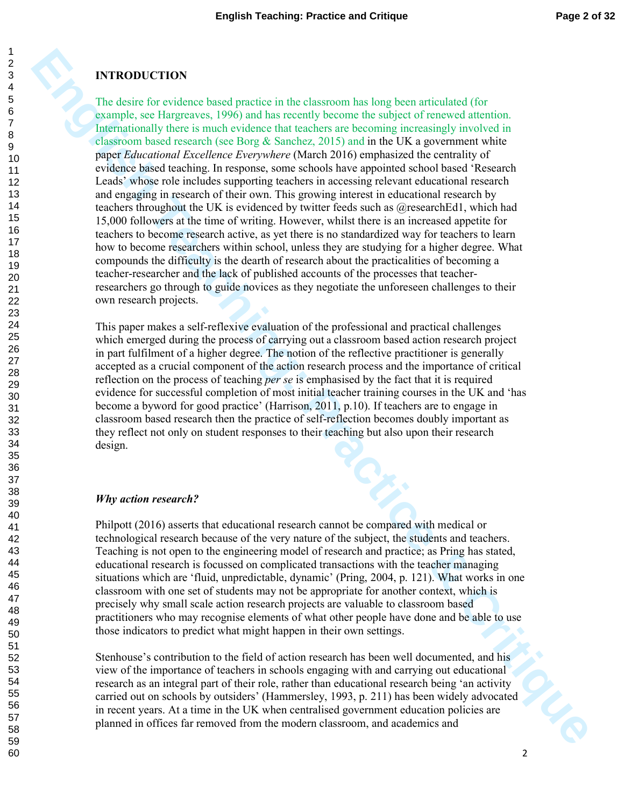### **INTRODUCTION**

**ENTRODUCTION**<br>The distinct product is not existence in the clustroom has leag been arrivalent of formulation<br>applies the formulation contribution of the contribution of the contribution<br>applies to formulation of the crit The desire for evidence based practice in the classroom has long been articulated (for example, see Hargreaves, 1996) and has recently become the subject of renewed attention. Internationally there is much evidence that teachers are becoming increasingly involved in classroom based research (see Borg  $\&$  Sanchez, 2015) and in the UK a government white paper *Educational Excellence Everywhere* (March 2016) emphasized the centrality of evidence based teaching. In response, some schools have appointed school based 'Research Leads' whose role includes supporting teachers in accessing relevant educational research and engaging in research of their own. This growing interest in educational research by teachers throughout the UK is evidenced by twitter feeds such as @researchEd1, which had 15,000 followers at the time of writing. However, whilst there is an increased appetite for teachers to become research active, as yet there is no standardized way for teachers to learn how to become researchers within school, unless they are studying for a higher degree. What compounds the difficulty is the dearth of research about the practicalities of becoming a teacher-researcher and the lack of published accounts of the processes that teacherresearchers go through to guide novices as they negotiate the unforeseen challenges to their own research projects.

This paper makes a self-reflexive evaluation of the professional and practical challenges which emerged during the process of carrying out a classroom based action research project in part fulfilment of a higher degree. The notion of the reflective practitioner is generally accepted as a crucial component of the action research process and the importance of critical reflection on the process of teaching *per se* is emphasised by the fact that it is required evidence for successful completion of most initial teacher training courses in the UK and 'has become a byword for good practice' (Harrison, 2011, p.10). If teachers are to engage in classroom based research then the practice of self-reflection becomes doubly important as they reflect not only on student responses to their teaching but also upon their research design.

### *Why action research?*

Philpott (2016) asserts that educational research cannot be compared with medical or technological research because of the very nature of the subject, the students and teachers. Teaching is not open to the engineering model of research and practice; as Pring has stated, educational research is focussed on complicated transactions with the teacher managing situations which are 'fluid, unpredictable, dynamic' (Pring, 2004, p. 121). What works in one classroom with one set of students may not be appropriate for another context, which is precisely why small scale action research projects are valuable to classroom based practitioners who may recognise elements of what other people have done and be able to use those indicators to predict what might happen in their own settings.

Stenhouse's contribution to the field of action research has been well documented, and his view of the importance of teachers in schools engaging with and carrying out educational research as an integral part of their role, rather than educational research being 'an activity carried out on schools by outsiders' (Hammersley, 1993, p. 211) has been widely advocated in recent years. At a time in the UK when centralised government education policies are planned in offices far removed from the modern classroom, and academics and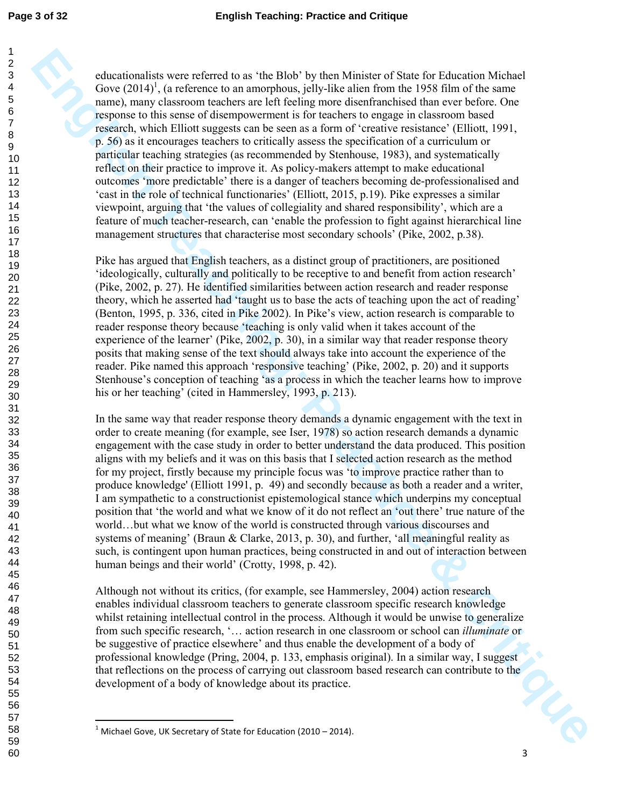60

**Enhanced by sever referred basis.** The Hole hy higes Minis for Nisk Encil for Nisk English Teaching Teaching in a standard the form of the same of the SS first of the same of the SS first of the same of the SS first of th educationalists were referred to as 'the Blob' by then Minister of State for Education Michael Gove  $(2014)^1$ , (a reference to an amorphous, jelly-like alien from the 1958 film of the same name), many classroom teachers are left feeling more disenfranchised than ever before. One response to this sense of disempowerment is for teachers to engage in classroom based research, which Elliott suggests can be seen as a form of 'creative resistance' (Elliott, 1991, p. 56) as it encourages teachers to critically assess the specification of a curriculum or particular teaching strategies (as recommended by Stenhouse, 1983), and systematically reflect on their practice to improve it. As policy-makers attempt to make educational outcomes 'more predictable' there is a danger of teachers becoming de-professionalised and 'cast in the role of technical functionaries' (Elliott, 2015, p.19). Pike expresses a similar viewpoint, arguing that 'the values of collegiality and shared responsibility', which are a feature of much teacher-research, can 'enable the profession to fight against hierarchical line management structures that characterise most secondary schools' (Pike, 2002, p.38).

Pike has argued that English teachers, as a distinct group of practitioners, are positioned 'ideologically, culturally and politically to be receptive to and benefit from action research' (Pike, 2002, p. 27). He identified similarities between action research and reader response theory, which he asserted had 'taught us to base the acts of teaching upon the act of reading' (Benton, 1995, p. 336, cited in Pike 2002). In Pike's view, action research is comparable to reader response theory because 'teaching is only valid when it takes account of the experience of the learner' (Pike, 2002, p. 30), in a similar way that reader response theory posits that making sense of the text should always take into account the experience of the reader. Pike named this approach 'responsive teaching' (Pike, 2002, p. 20) and it supports Stenhouse's conception of teaching 'as a process in which the teacher learns how to improve his or her teaching' (cited in Hammersley, 1993, p. 213).

In the same way that reader response theory demands a dynamic engagement with the text in order to create meaning (for example, see Iser, 1978) so action research demands a dynamic engagement with the case study in order to better understand the data produced. This position aligns with my beliefs and it was on this basis that I selected action research as the method for my project, firstly because my principle focus was 'to improve practice rather than to produce knowledge' (Elliott 1991, p. 49) and secondly because as both a reader and a writer, I am sympathetic to a constructionist epistemological stance which underpins my conceptual position that 'the world and what we know of it do not reflect an 'out there' true nature of the world…but what we know of the world is constructed through various discourses and systems of meaning' (Braun & Clarke, 2013, p. 30), and further, 'all meaningful reality as such, is contingent upon human practices, being constructed in and out of interaction between human beings and their world' (Crotty, 1998, p. 42).

iQLIS Although not without its critics, (for example, see Hammersley, 2004) action research enables individual classroom teachers to generate classroom specific research knowledge whilst retaining intellectual control in the process. Although it would be unwise to generalize from such specific research, '… action research in one classroom or school can *illuminate* or be suggestive of practice elsewhere' and thus enable the development of a body of professional knowledge (Pring, 2004, p. 133, emphasis original). In a similar way, I suggest that reflections on the process of carrying out classroom based research can contribute to the development of a body of knowledge about its practice.

 $\overline{a}$ 

 $1$  Michael Gove, UK Secretary of State for Education (2010 – 2014).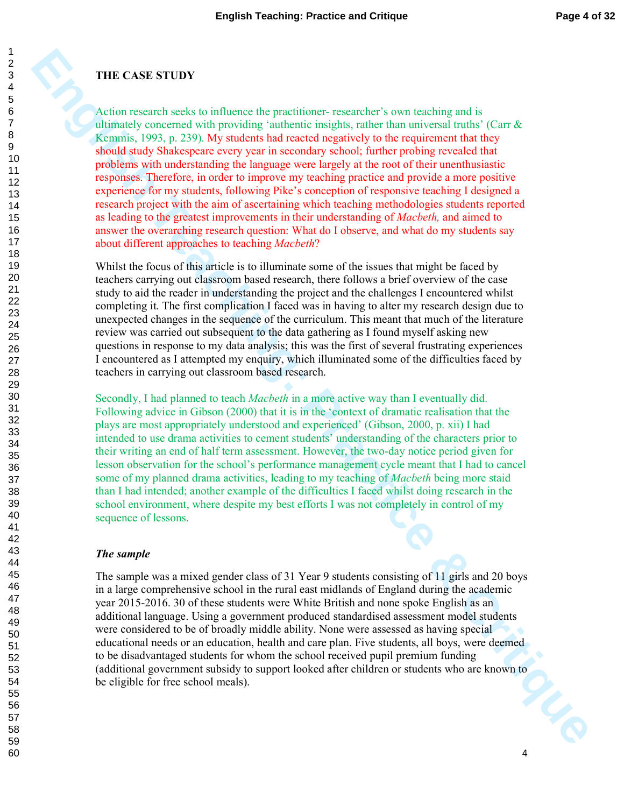### **THE CASE STUDY**

**FIIE CASE STUDY**<br>A rotion research technical consequente protections responsibles' cover becausing in the clump (Car & Kenning, 1997, p. 239). We statiste had the cast of a matterial consequence was proparities in the ca Action research seeks to influence the practitioner- researcher's own teaching and is ultimately concerned with providing 'authentic insights, rather than universal truths' (Carr  $\&$ Kemmis, 1993, p. 239). My students had reacted negatively to the requirement that they should study Shakespeare every year in secondary school; further probing revealed that problems with understanding the language were largely at the root of their unenthusiastic responses. Therefore, in order to improve my teaching practice and provide a more positive experience for my students, following Pike's conception of responsive teaching I designed a research project with the aim of ascertaining which teaching methodologies students reported as leading to the greatest improvements in their understanding of *Macbeth,* and aimed to answer the overarching research question: What do I observe, and what do my students say about different approaches to teaching *Macbeth*?

Whilst the focus of this article is to illuminate some of the issues that might be faced by teachers carrying out classroom based research, there follows a brief overview of the case study to aid the reader in understanding the project and the challenges I encountered whilst completing it. The first complication I faced was in having to alter my research design due to unexpected changes in the sequence of the curriculum. This meant that much of the literature review was carried out subsequent to the data gathering as I found myself asking new questions in response to my data analysis; this was the first of several frustrating experiences I encountered as I attempted my enquiry, which illuminated some of the difficulties faced by teachers in carrying out classroom based research.

Secondly, I had planned to teach *Macbeth* in a more active way than I eventually did. Following advice in Gibson (2000) that it is in the 'context of dramatic realisation that the plays are most appropriately understood and experienced' (Gibson, 2000, p. xii) I had intended to use drama activities to cement students' understanding of the characters prior to their writing an end of half term assessment. However, the two-day notice period given for lesson observation for the school's performance management cycle meant that I had to cancel some of my planned drama activities, leading to my teaching of *Macbeth* being more staid than I had intended; another example of the difficulties I faced whilst doing research in the school environment, where despite my best efforts I was not completely in control of my sequence of lessons.

#### *The sample*

C The sample was a mixed gender class of 31 Year 9 students consisting of 11 girls and 20 boys in a large comprehensive school in the rural east midlands of England during the academic year 2015-2016. 30 of these students were White British and none spoke English as an additional language. Using a government produced standardised assessment model students were considered to be of broadly middle ability. None were assessed as having special educational needs or an education, health and care plan. Five students, all boys, were deemed to be disadvantaged students for whom the school received pupil premium funding (additional government subsidy to support looked after children or students who are known to be eligible for free school meals).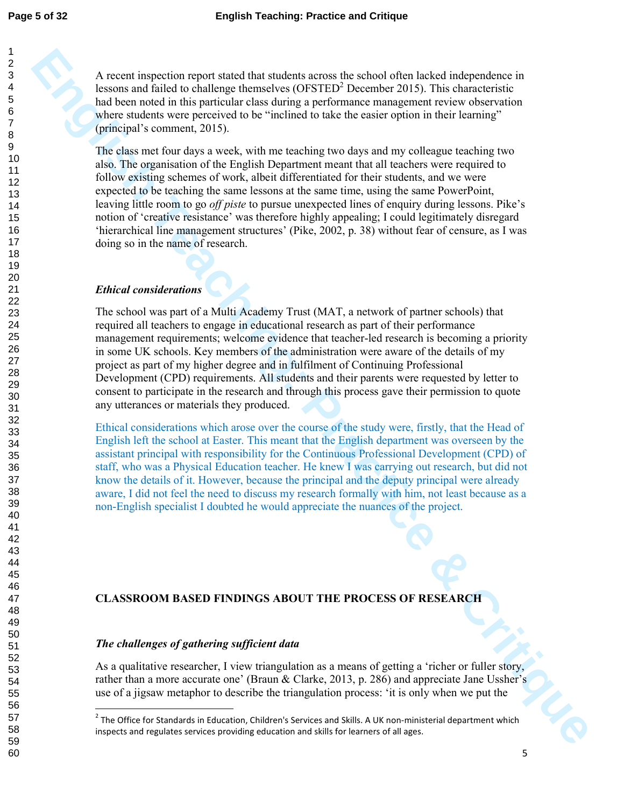A recent inspection report stated that students across the school often lacked independence in lessons and failed to challenge themselves  $(OFSTED<sup>2</sup>$  December 2015). This characteristic had been noted in this particular class during a performance management review observation where students were perceived to be "inclined to take the easier option in their learning" (principal's comment, 2015).

The class met four days a week, with me teaching two days and my colleague teaching two also. The organisation of the English Department meant that all teachers were required to follow existing schemes of work, albeit differentiated for their students, and we were expected to be teaching the same lessons at the same time, using the same PowerPoint, leaving little room to go *off piste* to pursue unexpected lines of enquiry during lessons. Pike's notion of 'creative resistance' was therefore highly appealing; I could legitimately disregard 'hierarchical line management structures' (Pike, 2002, p. 38) without fear of censure, as I was doing so in the name of research.

### *Ethical considerations*

A nearth requestion regard table duel statents agains (the scheme) these continues the state of the state of the state of the state of the state of the state of the state of the state of the state of the state of the state The school was part of a Multi Academy Trust (MAT, a network of partner schools) that required all teachers to engage in educational research as part of their performance management requirements; welcome evidence that teacher-led research is becoming a priority in some UK schools. Key members of the administration were aware of the details of my project as part of my higher degree and in fulfilment of Continuing Professional Development (CPD) requirements. All students and their parents were requested by letter to consent to participate in the research and through this process gave their permission to quote any utterances or materials they produced.

Ethical considerations which arose over the course of the study were, firstly, that the Head of English left the school at Easter. This meant that the English department was overseen by the assistant principal with responsibility for the Continuous Professional Development (CPD) of staff, who was a Physical Education teacher. He knew I was carrying out research, but did not know the details of it. However, because the principal and the deputy principal were already aware, I did not feel the need to discuss my research formally with him, not least because as a non-English specialist I doubted he would appreciate the nuances of the project.

### **CLASSROOM BASED FINDINGS ABOUT THE PROCESS OF RESEARCH**

### *The challenges of gathering sufficient data*

l,

As a qualitative researcher, I view triangulation as a means of getting a 'richer or fuller story, rather than a more accurate one' (Braun & Clarke, 2013, p. 286) and appreciate Jane Ussher's use of a jigsaw metaphor to describe the triangulation process: 'it is only when we put the

 The Office for Standards in Education, Children's Services and Skills. A UK non-ministerial department which inspects and regulates services providing education and skills for learners of all ages.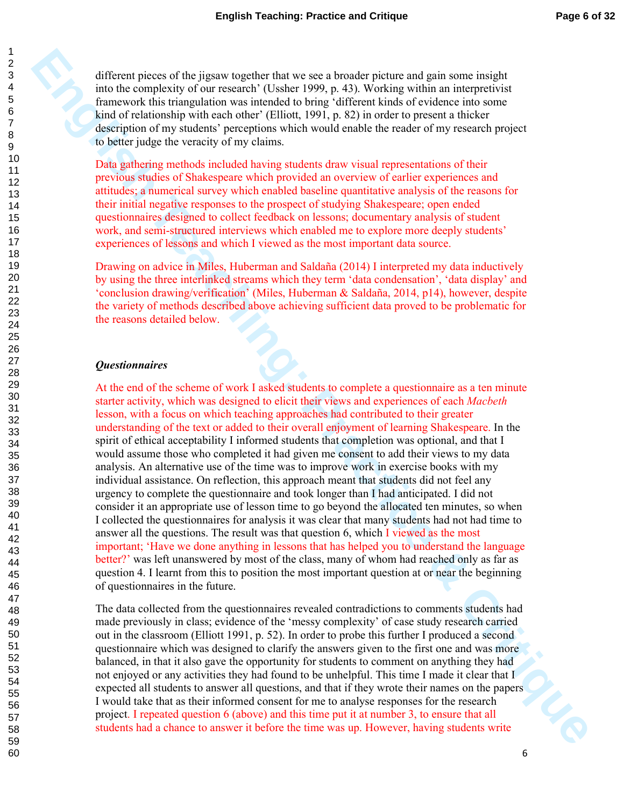different pieces of the jigsaw together that we see a broader picture and gain some insight into the complexity of our research' (Ussher 1999, p. 43). Working within an interpretivist framework this triangulation was intended to bring 'different kinds of evidence into some kind of relationship with each other' (Elliott, 1991, p. 82) in order to present a thicker description of my students' perceptions which would enable the reader of my research project to better judge the veracity of my claims.

Data gathering methods included having students draw visual representations of their previous studies of Shakespeare which provided an overview of earlier experiences and attitudes; a numerical survey which enabled baseline quantitative analysis of the reasons for their initial negative responses to the prospect of studying Shakespeare; open ended questionnaires designed to collect feedback on lessons; documentary analysis of student work, and semi-structured interviews which enabled me to explore more deeply students' experiences of lessons and which I viewed as the most important data source.

Drawing on advice in Miles, Huberman and Saldaña (2014) I interpreted my data inductively by using the three interlinked streams which they term 'data condensation', 'data display' and 'conclusion drawing/verification' (Miles, Huberman & Saldaña, 2014, p14), however, despite the variety of methods described above achieving sufficient data proved to be problematic for the reasons detailed below.

#### *Questionnaires*

**Enforced the pronous optice and we use a bunder protocomparite mail particular and particular the constraints the critical system and the main interpretation of the system and the critical system and the critical system a** At the end of the scheme of work I asked students to complete a questionnaire as a ten minute starter activity, which was designed to elicit their views and experiences of each *Macbeth* lesson, with a focus on which teaching approaches had contributed to their greater understanding of the text or added to their overall enjoyment of learning Shakespeare. In the spirit of ethical acceptability I informed students that completion was optional, and that I would assume those who completed it had given me consent to add their views to my data analysis. An alternative use of the time was to improve work in exercise books with my individual assistance. On reflection, this approach meant that students did not feel any urgency to complete the questionnaire and took longer than I had anticipated. I did not consider it an appropriate use of lesson time to go beyond the allocated ten minutes, so when I collected the questionnaires for analysis it was clear that many students had not had time to answer all the questions. The result was that question 6, which I viewed as the most important; 'Have we done anything in lessons that has helped you to understand the language better?' was left unanswered by most of the class, many of whom had reached only as far as question 4. I learnt from this to position the most important question at or near the beginning of questionnaires in the future.

The data collected from the questionnaires revealed contradictions to comments students had made previously in class; evidence of the 'messy complexity' of case study research carried out in the classroom (Elliott 1991, p. 52). In order to probe this further I produced a second questionnaire which was designed to clarify the answers given to the first one and was more balanced, in that it also gave the opportunity for students to comment on anything they had not enjoyed or any activities they had found to be unhelpful. This time I made it clear that I expected all students to answer all questions, and that if they wrote their names on the papers I would take that as their informed consent for me to analyse responses for the research project. I repeated question 6 (above) and this time put it at number 3, to ensure that all students had a chance to answer it before the time was up. However, having students write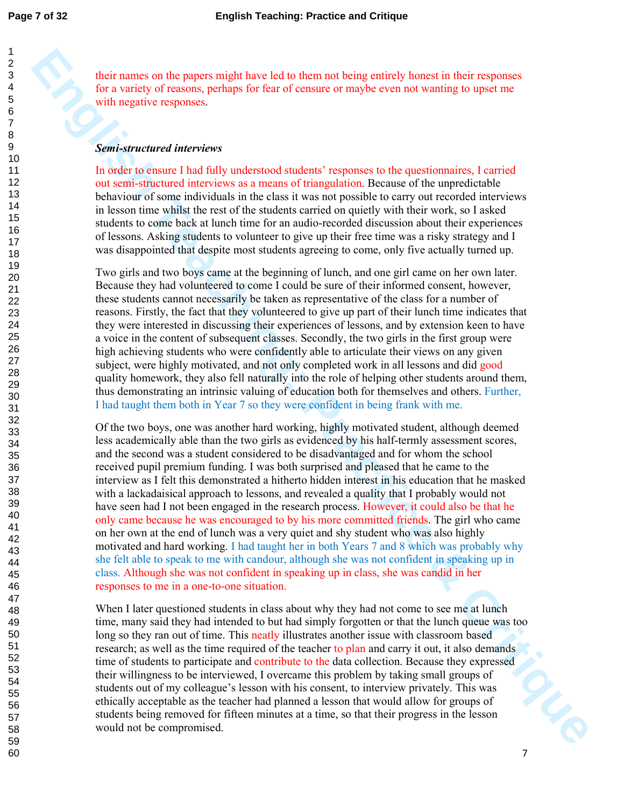their names on the papers might have led to them not being entirely honest in their responses for a variety of reasons, perhaps for fear of censure or maybe even not wanting to upset me with negative responses.

#### *Semi-structured interviews*

In order to ensure I had fully understood students' responses to the questionnaires, I carried out semi-structured interviews as a means of triangulation. Because of the unpredictable behaviour of some individuals in the class it was not possible to carry out recorded interviews in lesson time whilst the rest of the students carried on quietly with their work, so I asked students to come back at lunch time for an audio-recorded discussion about their experiences of lessons. Asking students to volunteer to give up their free time was a risky strategy and I was disappointed that despite most students agreeing to come, only five actually turned up.

Two girls and two boys came at the beginning of lunch, and one girl came on her own later. Because they had volunteered to come I could be sure of their informed consent, however, these students cannot necessarily be taken as representative of the class for a number of reasons. Firstly, the fact that they volunteered to give up part of their lunch time indicates that they were interested in discussing their experiences of lessons, and by extension keen to have a voice in the content of subsequent classes. Secondly, the two girls in the first group were high achieving students who were confidently able to articulate their views on any given subject, were highly motivated, and not only completed work in all lessons and did good quality homework, they also fell naturally into the role of helping other students around them, thus demonstrating an intrinsic valuing of education both for themselves and others. Further, I had taught them both in Year 7 so they were confident in being frank with me.

**Energy on the papers must have bed to them real beng entirely haves)** in the responses for a standard tractice constrained to the standard tractice and the standard tractice and the standard tractice and the standard trac Of the two boys, one was another hard working, highly motivated student, although deemed less academically able than the two girls as evidenced by his half-termly assessment scores, and the second was a student considered to be disadvantaged and for whom the school received pupil premium funding. I was both surprised and pleased that he came to the interview as I felt this demonstrated a hitherto hidden interest in his education that he masked with a lackadaisical approach to lessons, and revealed a quality that I probably would not have seen had I not been engaged in the research process. However, it could also be that he only came because he was encouraged to by his more committed friends. The girl who came on her own at the end of lunch was a very quiet and shy student who was also highly motivated and hard working. I had taught her in both Years 7 and 8 which was probably why she felt able to speak to me with candour, although she was not confident in speaking up in class. Although she was not confident in speaking up in class, she was candid in her responses to me in a one-to-one situation.

**PLA** When I later questioned students in class about why they had not come to see me at lunch time, many said they had intended to but had simply forgotten or that the lunch queue was too long so they ran out of time. This neatly illustrates another issue with classroom based research; as well as the time required of the teacher to plan and carry it out, it also demands time of students to participate and contribute to the data collection. Because they expressed their willingness to be interviewed, I overcame this problem by taking small groups of students out of my colleague's lesson with his consent, to interview privately. This was ethically acceptable as the teacher had planned a lesson that would allow for groups of students being removed for fifteen minutes at a time, so that their progress in the lesson would not be compromised.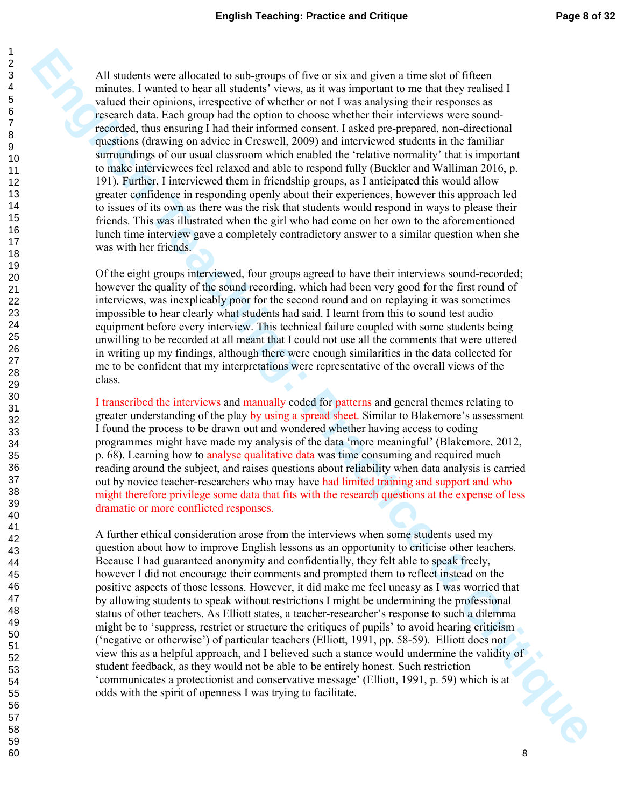All students one afficialid to subgroups of fore to strange practice and present in red for the studies of the studies of the studies of the studies of the studies of the studies of the studies of the studies of the studie All students were allocated to sub-groups of five or six and given a time slot of fifteen minutes. I wanted to hear all students' views, as it was important to me that they realised I valued their opinions, irrespective of whether or not I was analysing their responses as research data. Each group had the option to choose whether their interviews were soundrecorded, thus ensuring I had their informed consent. I asked pre-prepared, non-directional questions (drawing on advice in Creswell, 2009) and interviewed students in the familiar surroundings of our usual classroom which enabled the 'relative normality' that is important to make interviewees feel relaxed and able to respond fully (Buckler and Walliman 2016, p. 191). Further, I interviewed them in friendship groups, as I anticipated this would allow greater confidence in responding openly about their experiences, however this approach led to issues of its own as there was the risk that students would respond in ways to please their friends. This was illustrated when the girl who had come on her own to the aforementioned lunch time interview gave a completely contradictory answer to a similar question when she was with her friends.

Of the eight groups interviewed, four groups agreed to have their interviews sound-recorded; however the quality of the sound recording, which had been very good for the first round of interviews, was inexplicably poor for the second round and on replaying it was sometimes impossible to hear clearly what students had said. I learnt from this to sound test audio equipment before every interview. This technical failure coupled with some students being unwilling to be recorded at all meant that I could not use all the comments that were uttered in writing up my findings, although there were enough similarities in the data collected for me to be confident that my interpretations were representative of the overall views of the class.

I transcribed the interviews and manually coded for patterns and general themes relating to greater understanding of the play by using a spread sheet. Similar to Blakemore's assessment I found the process to be drawn out and wondered whether having access to coding programmes might have made my analysis of the data 'more meaningful' (Blakemore, 2012, p. 68). Learning how to analyse qualitative data was time consuming and required much reading around the subject, and raises questions about reliability when data analysis is carried out by novice teacher-researchers who may have had limited training and support and who might therefore privilege some data that fits with the research questions at the expense of less dramatic or more conflicted responses.

A further ethical consideration arose from the interviews when some students used my question about how to improve English lessons as an opportunity to criticise other teachers. Because I had guaranteed anonymity and confidentially, they felt able to speak freely, however I did not encourage their comments and prompted them to reflect instead on the positive aspects of those lessons. However, it did make me feel uneasy as I was worried that by allowing students to speak without restrictions I might be undermining the professional status of other teachers. As Elliott states, a teacher-researcher's response to such a dilemma might be to 'suppress, restrict or structure the critiques of pupils' to avoid hearing criticism ('negative or otherwise') of particular teachers (Elliott, 1991, pp. 58-59). Elliott does not view this as a helpful approach, and I believed such a stance would undermine the validity of student feedback, as they would not be able to be entirely honest. Such restriction 'communicates a protectionist and conservative message' (Elliott, 1991, p. 59) which is at odds with the spirit of openness I was trying to facilitate.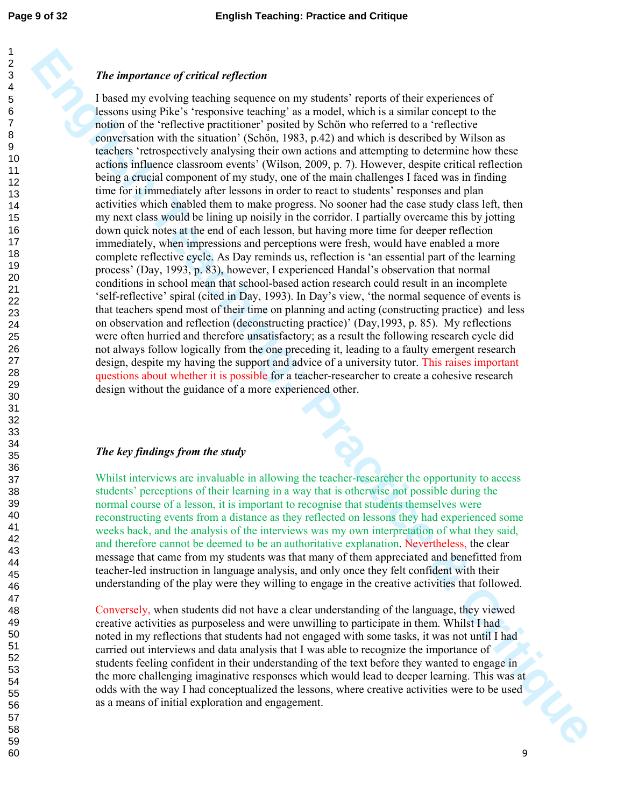### *The importance of critical reflection*

**The imperrative of critical reflection**<br>
I head in yorks in Securities continues that the standard sympath of this is a standard sympath of the standard sympath of the standard of the standard Critical sympath of the stan I based my evolving teaching sequence on my students' reports of their experiences of lessons using Pike's 'responsive teaching' as a model, which is a similar concept to the notion of the 'reflective practitioner' posited by Schön who referred to a 'reflective conversation with the situation' (Schön, 1983, p.42) and which is described by Wilson as teachers 'retrospectively analysing their own actions and attempting to determine how these actions influence classroom events' (Wilson, 2009, p. 7). However, despite critical reflection being a crucial component of my study, one of the main challenges I faced was in finding time for it immediately after lessons in order to react to students' responses and plan activities which enabled them to make progress. No sooner had the case study class left, then my next class would be lining up noisily in the corridor. I partially overcame this by jotting down quick notes at the end of each lesson, but having more time for deeper reflection immediately, when impressions and perceptions were fresh, would have enabled a more complete reflective cycle. As Day reminds us, reflection is 'an essential part of the learning process' (Day, 1993, p. 83), however, I experienced Handal's observation that normal conditions in school mean that school-based action research could result in an incomplete 'self-reflective' spiral (cited in Day, 1993). In Day's view, 'the normal sequence of events is that teachers spend most of their time on planning and acting (constructing practice) and less on observation and reflection (deconstructing practice)' (Day,1993, p. 85). My reflections were often hurried and therefore unsatisfactory; as a result the following research cycle did not always follow logically from the one preceding it, leading to a faulty emergent research design, despite my having the support and advice of a university tutor. This raises important questions about whether it is possible for a teacher-researcher to create a cohesive research design without the guidance of a more experienced other.

#### *The key findings from the study*

Whilst interviews are invaluable in allowing the teacher-researcher the opportunity to access students' perceptions of their learning in a way that is otherwise not possible during the normal course of a lesson, it is important to recognise that students themselves were reconstructing events from a distance as they reflected on lessons they had experienced some weeks back, and the analysis of the interviews was my own interpretation of what they said, and therefore cannot be deemed to be an authoritative explanation. Nevertheless, the clear message that came from my students was that many of them appreciated and benefitted from teacher-led instruction in language analysis, and only once they felt confident with their understanding of the play were they willing to engage in the creative activities that followed.

Conversely, when students did not have a clear understanding of the language, they viewed creative activities as purposeless and were unwilling to participate in them. Whilst I had noted in my reflections that students had not engaged with some tasks, it was not until I had carried out interviews and data analysis that I was able to recognize the importance of students feeling confident in their understanding of the text before they wanted to engage in the more challenging imaginative responses which would lead to deeper learning. This was at odds with the way I had conceptualized the lessons, where creative activities were to be used as a means of initial exploration and engagement.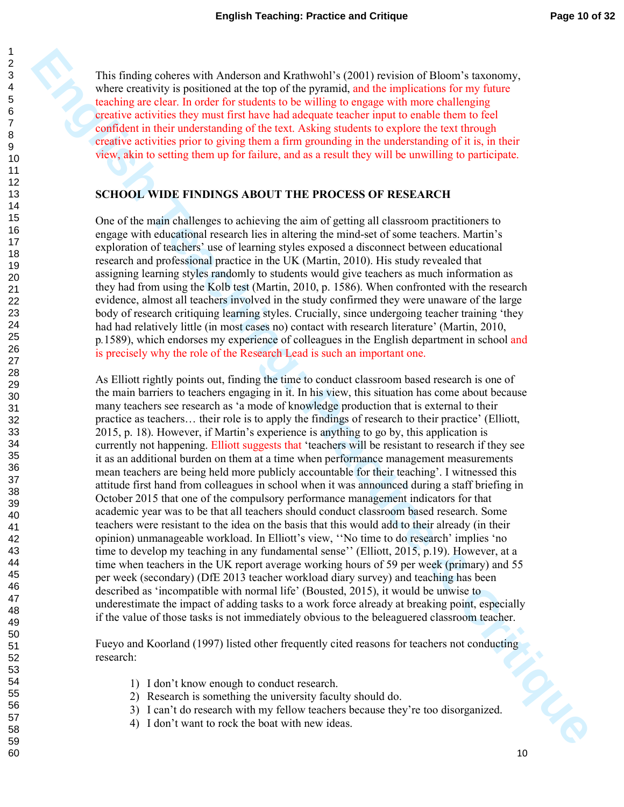This finding coheres with Anderson and Krathwohl's (2001) revision of Bloom's taxonomy, where creativity is positioned at the top of the pyramid, and the implications for my future teaching are clear. In order for students to be willing to engage with more challenging creative activities they must first have had adequate teacher input to enable them to feel confident in their understanding of the text. Asking students to explore the text through creative activities prior to giving them a firm grounding in the understanding of it is, in their view, akin to setting them up for failure, and as a result they will be unwilling to participate.

#### **SCHOOL WIDE FINDINGS ABOUT THE PROCESS OF RESEARCH**

One of the main challenges to achieving the aim of getting all classroom practitioners to engage with educational research lies in altering the mind-set of some teachers. Martin's exploration of teachers' use of learning styles exposed a disconnect between educational research and professional practice in the UK (Martin, 2010). His study revealed that assigning learning styles randomly to students would give teachers as much information as they had from using the Kolb test (Martin, 2010, p. 1586). When confronted with the research evidence, almost all teachers involved in the study confirmed they were unaware of the large body of research critiquing learning styles. Crucially, since undergoing teacher training 'they had had relatively little (in most cases no) contact with research literature' (Martin, 2010, p*.*1589), which endorses my experience of colleagues in the English department in school and is precisely why the role of the Research Lead is such an important one.

**English Control of the Critics of Equation Control of the Critical SCOU (Figure 2) which are the Critical SCO (Figure 2) which are the Critical SCO (Figure 2) which are the Critical Critical Critical Critical Critical Cri** As Elliott rightly points out, finding the time to conduct classroom based research is one of the main barriers to teachers engaging in it. In his view, this situation has come about because many teachers see research as 'a mode of knowledge production that is external to their practice as teachers… their role is to apply the findings of research to their practice' (Elliott, 2015, p. 18). However, if Martin's experience is anything to go by, this application is currently not happening. Elliott suggests that 'teachers will be resistant to research if they see it as an additional burden on them at a time when performance management measurements mean teachers are being held more publicly accountable for their teaching'. I witnessed this attitude first hand from colleagues in school when it was announced during a staff briefing in October 2015 that one of the compulsory performance management indicators for that academic year was to be that all teachers should conduct classroom based research. Some teachers were resistant to the idea on the basis that this would add to their already (in their opinion) unmanageable workload. In Elliott's view, ''No time to do research' implies 'no time to develop my teaching in any fundamental sense'' (Elliott, 2015, p.19). However, at a time when teachers in the UK report average working hours of 59 per week (primary) and 55 per week (secondary) (DfE 2013 teacher workload diary survey) and teaching has been described as 'incompatible with normal life' (Bousted, 2015), it would be unwise to underestimate the impact of adding tasks to a work force already at breaking point, especially if the value of those tasks is not immediately obvious to the beleaguered classroom teacher.

Fueyo and Koorland (1997) listed other frequently cited reasons for teachers not conducting research:

- 1) I don't know enough to conduct research.
- 2) Research is something the university faculty should do.
- 3) I can't do research with my fellow teachers because they're too disorganized.
- 4) I don't want to rock the boat with new ideas.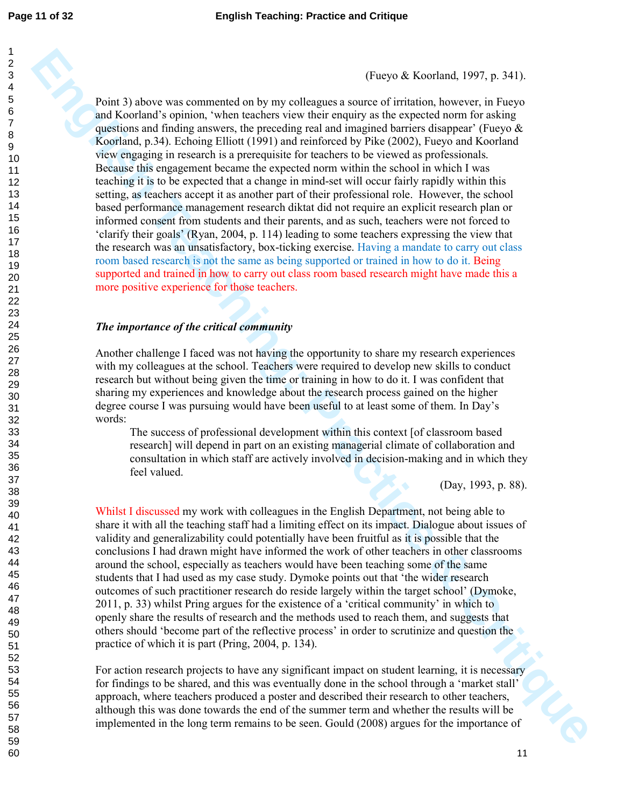(Fueyo & Koorland, 1997, p. 341).

(Togota St above was commonized on by my colleagues a source of firinds in Aveveor, in Plays<br>and Schering of equinosity when bestecha the symptom decomposite and the symptom state of equinosity and a symptom state of the s Point 3) above was commented on by my colleagues a source of irritation, however, in Fueyo and Koorland's opinion, 'when teachers view their enquiry as the expected norm for asking questions and finding answers, the preceding real and imagined barriers disappear' (Fueyo  $\&$ Koorland, p.34). Echoing Elliott (1991) and reinforced by Pike (2002), Fueyo and Koorland view engaging in research is a prerequisite for teachers to be viewed as professionals. Because this engagement became the expected norm within the school in which I was teaching it is to be expected that a change in mind-set will occur fairly rapidly within this setting, as teachers accept it as another part of their professional role. However, the school based performance management research diktat did not require an explicit research plan or informed consent from students and their parents, and as such, teachers were not forced to 'clarify their goals' (Ryan, 2004, p. 114) leading to some teachers expressing the view that the research was an unsatisfactory, box-ticking exercise. Having a mandate to carry out class room based research is not the same as being supported or trained in how to do it. Being supported and trained in how to carry out class room based research might have made this a more positive experience for those teachers.

#### *The importance of the critical community*

Another challenge I faced was not having the opportunity to share my research experiences with my colleagues at the school. Teachers were required to develop new skills to conduct research but without being given the time or training in how to do it. I was confident that sharing my experiences and knowledge about the research process gained on the higher degree course I was pursuing would have been useful to at least some of them. In Day's words:

The success of professional development within this context [of classroom based research] will depend in part on an existing managerial climate of collaboration and consultation in which staff are actively involved in decision-making and in which they feel valued.

(Day, 1993, p. 88).

Whilst I discussed my work with colleagues in the English Department, not being able to share it with all the teaching staff had a limiting effect on its impact. Dialogue about issues of validity and generalizability could potentially have been fruitful as it is possible that the conclusions I had drawn might have informed the work of other teachers in other classrooms around the school, especially as teachers would have been teaching some of the same students that I had used as my case study. Dymoke points out that 'the wider research outcomes of such practitioner research do reside largely within the target school' (Dymoke, 2011, p. 33) whilst Pring argues for the existence of a 'critical community' in which to openly share the results of research and the methods used to reach them, and suggests that others should 'become part of the reflective process' in order to scrutinize and question the practice of which it is part (Pring, 2004, p. 134).

For action research projects to have any significant impact on student learning, it is necessary for findings to be shared, and this was eventually done in the school through a 'market stall' approach, where teachers produced a poster and described their research to other teachers, although this was done towards the end of the summer term and whether the results will be implemented in the long term remains to be seen. Gould (2008) argues for the importance of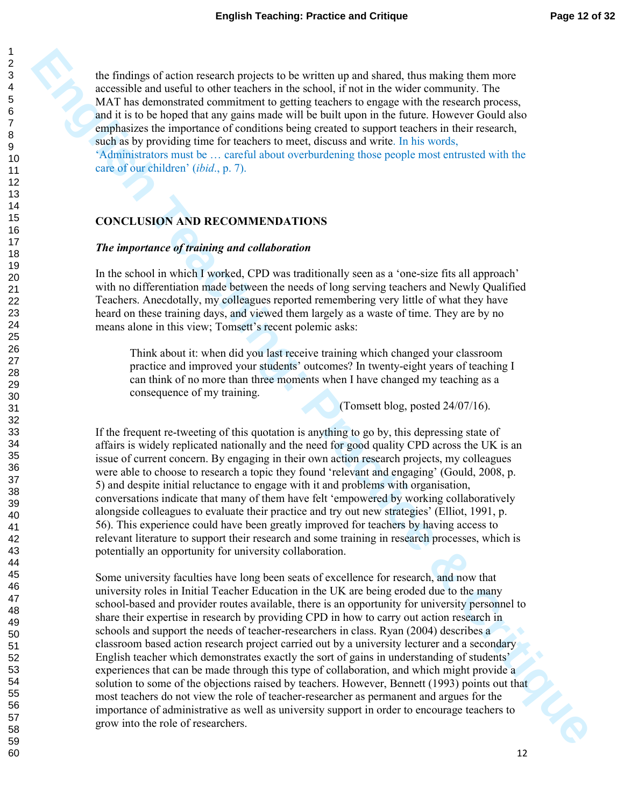the findings of action research projects to be written up and shared, thus making them more accessible and useful to other teachers in the school, if not in the wider community. The MAT has demonstrated commitment to getting teachers to engage with the research process, and it is to be hoped that any gains made will be built upon in the future. However Gould also emphasizes the importance of conditions being created to support teachers in their research, such as by providing time for teachers to meet, discuss and write. In his words,

'Administrators must be … careful about overburdening those people most entrusted with the care of our children' (*ibid*., p. 7).

#### **CONCLUSION AND RECOMMENDATIONS**

#### *The importance of training and collaboration*

In the school in which I worked, CPD was traditionally seen as a 'one-size fits all approach' with no differentiation made between the needs of long serving teachers and Newly Qualified Teachers. Anecdotally, my colleagues reported remembering very little of what they have heard on these training days, and viewed them largely as a waste of time. They are by no means alone in this view; Tomsett's recent polemic asks:

Think about it: when did you last receive training which changed your classroom practice and improved your students' outcomes? In twenty-eight years of teaching I can think of no more than three moments when I have changed my teaching as a consequence of my training.

(Tomsett blog, posted 24/07/16).

If the frequent re-tweeting of this quotation is anything to go by, this depressing state of affairs is widely replicated nationally and the need for good quality CPD across the UK is an issue of current concern. By engaging in their own action research projects, my colleagues were able to choose to research a topic they found 'relevant and engaging' (Gould, 2008, p. 5) and despite initial reluctance to engage with it and problems with organisation, conversations indicate that many of them have felt 'empowered by working collaboratively alongside colleagues to evaluate their practice and try out new strategies' (Elliot, 1991, p. 56). This experience could have been greatly improved for teachers by having access to relevant literature to support their research and some training in research processes, which is potentially an opportunity for university collaboration.

The findings of action research projects to be written in and short, then mixes according that the three interests of the significant of the significant of the significant of the significant of the significant of the sign Some university faculties have long been seats of excellence for research, and now that university roles in Initial Teacher Education in the UK are being eroded due to the many school-based and provider routes available, there is an opportunity for university personnel to share their expertise in research by providing CPD in how to carry out action research in schools and support the needs of teacher-researchers in class. Ryan (2004) describes a classroom based action research project carried out by a university lecturer and a secondary English teacher which demonstrates exactly the sort of gains in understanding of students' experiences that can be made through this type of collaboration, and which might provide a solution to some of the objections raised by teachers. However, Bennett (1993) points out that most teachers do not view the role of teacher-researcher as permanent and argues for the importance of administrative as well as university support in order to encourage teachers to grow into the role of researchers.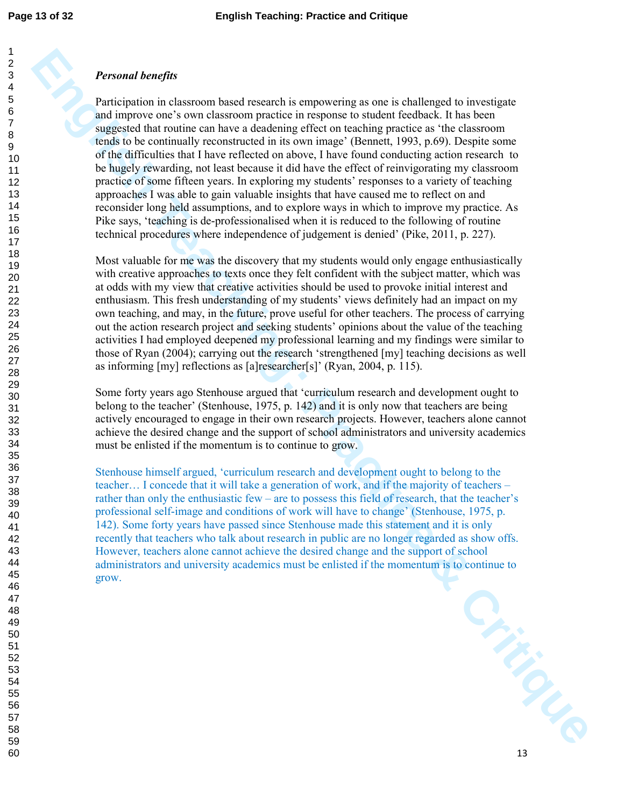### *Personal benefits*

**Personni lone/fits**<br>**Participation in chaseoon based research is empowering as one is challenged to investigate and<br>and physics one form chaseon participation in regular the matrix of the<br>state of the physics between the** Participation in classroom based research is empowering as one is challenged to investigate and improve one's own classroom practice in response to student feedback. It has been suggested that routine can have a deadening effect on teaching practice as 'the classroom tends to be continually reconstructed in its own image' (Bennett, 1993, p.69). Despite some of the difficulties that I have reflected on above, I have found conducting action research to be hugely rewarding, not least because it did have the effect of reinvigorating my classroom practice of some fifteen years. In exploring my students' responses to a variety of teaching approaches I was able to gain valuable insights that have caused me to reflect on and reconsider long held assumptions, and to explore ways in which to improve my practice. As Pike says, 'teaching is de-professionalised when it is reduced to the following of routine technical procedures where independence of judgement is denied' (Pike, 2011, p. 227).

Most valuable for me was the discovery that my students would only engage enthusiastically with creative approaches to texts once they felt confident with the subject matter, which was at odds with my view that creative activities should be used to provoke initial interest and enthusiasm. This fresh understanding of my students' views definitely had an impact on my own teaching, and may, in the future, prove useful for other teachers. The process of carrying out the action research project and seeking students' opinions about the value of the teaching activities I had employed deepened my professional learning and my findings were similar to those of Ryan (2004); carrying out the research 'strengthened [my] teaching decisions as well as informing [my] reflections as [a]researcher[s]' (Ryan, 2004, p. 115).

Some forty years ago Stenhouse argued that 'curriculum research and development ought to belong to the teacher' (Stenhouse, 1975, p. 142) and it is only now that teachers are being actively encouraged to engage in their own research projects. However, teachers alone cannot achieve the desired change and the support of school administrators and university academics must be enlisted if the momentum is to continue to grow.

Stenhouse himself argued, 'curriculum research and development ought to belong to the teacher… I concede that it will take a generation of work, and if the majority of teachers – rather than only the enthusiastic few – are to possess this field of research, that the teacher's professional self-image and conditions of work will have to change' (Stenhouse, 1975, p. 142). Some forty years have passed since Stenhouse made this statement and it is only recently that teachers who talk about research in public are no longer regarded as show offs. However, teachers alone cannot achieve the desired change and the support of school administrators and university academics must be enlisted if the momentum is to continue to grow.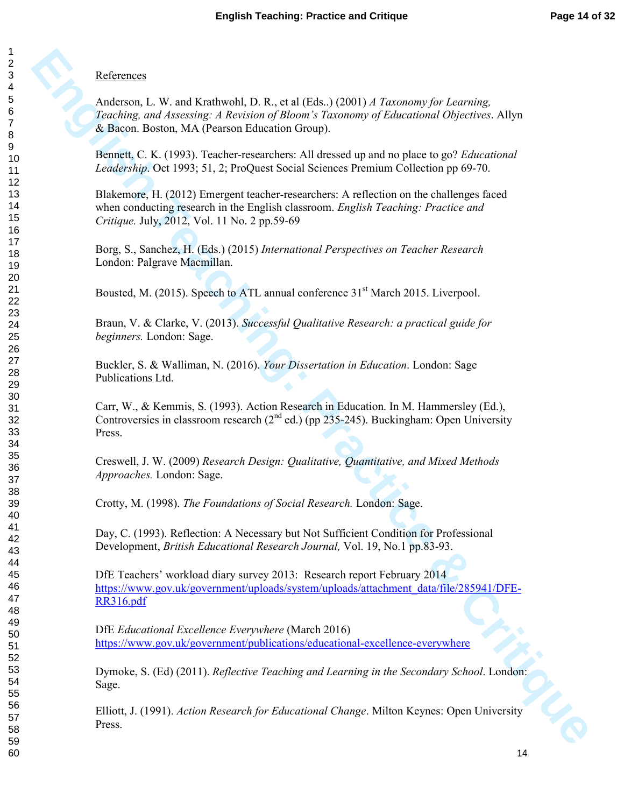### **References**

**Enfrances**<br> **Anderson, L. W. and Krathwold, D. R., et al iEda.) (2001)** *A Taxonomy for Learning***<br>
<b>Zondong and Ansonny A Areword gluones a Taxonomy of Education Overlever.** Ally<br> **E. Brown. Botton, MA (Proteion Education** Anderson, L. W. and Krathwohl, D. R., et al (Eds..) (2001) *A Taxonomy for Learning, Teaching, and Assessing: A Revision of Bloom's Taxonomy of Educational Objectives*. Allyn & Bacon. Boston, MA (Pearson Education Group).

Bennett, C. K. (1993). Teacher-researchers: All dressed up and no place to go? *Educational Leadership*. Oct 1993; 51, 2; ProQuest Social Sciences Premium Collection pp 69-70.

Blakemore, H. (2012) Emergent teacher-researchers: A reflection on the challenges faced when conducting research in the English classroom. *English Teaching: Practice and Critique.* July, 2012, Vol. 11 No. 2 pp.59-69

Borg, S., Sanchez, H. (Eds.) (2015) *International Perspectives on Teacher Research* London: Palgrave Macmillan.

Bousted, M. (2015). Speech to ATL annual conference 31<sup>st</sup> March 2015. Liverpool.

Braun, V. & Clarke, V. (2013). *Successful Qualitative Research: a practical guide for beginners.* London: Sage.

Buckler, S. & Walliman, N. (2016). *Your Dissertation in Education*. London: Sage Publications Ltd.

Carr, W., & Kemmis, S. (1993). Action Research in Education. In M. Hammersley (Ed.), Controversies in classroom research  $(2^{nd}$  ed.) (pp 235-245). Buckingham: Open University Press.

Creswell, J. W. (2009) *Research Design: Qualitative, Quantitative, and Mixed Methods Approaches.* London: Sage.

Crotty, M. (1998). *The Foundations of Social Research.* London: Sage.

Day, C. (1993). Reflection: A Necessary but Not Sufficient Condition for Professional Development, *British Educational Research Journal,* Vol. 19, No.1 pp.83-93.

DfE Teachers' workload diary survey 2013: Research report February 2014 https://www.gov.uk/government/uploads/system/uploads/attachment\_data/file/285941/DFE-RR316.pdf

DfE *Educational Excellence Everywhere* (March 2016) https://www.gov.uk/government/publications/educational-excellence-everywhere

Dymoke, S. (Ed) (2011). *Reflective Teaching and Learning in the Secondary School*. London: Sage.

Elliott, J. (1991). *Action Research for Educational Change*. Milton Keynes: Open University Press.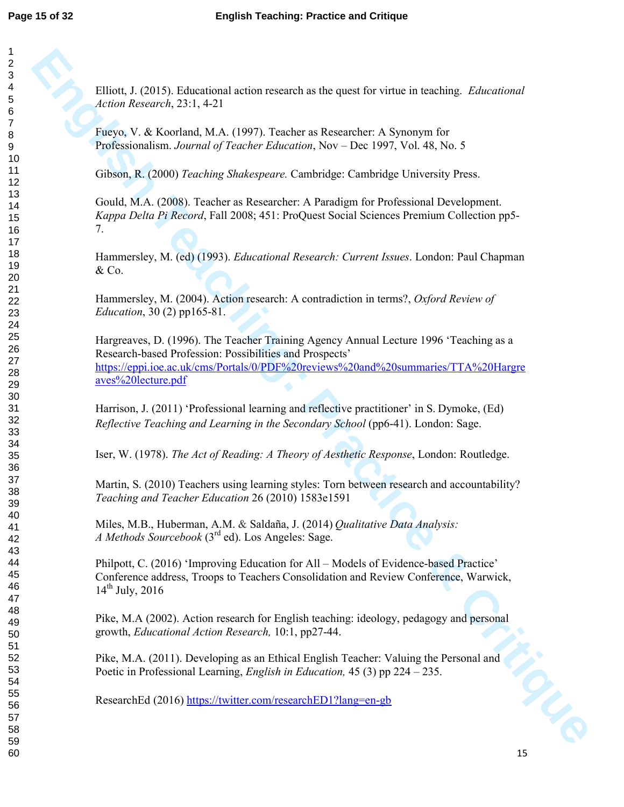Elliott, J. (2015). Educational action research as the quest for virtue in teaching. *Educational Action Research*, 23:1, 4-21

Fueyo, V. & Koorland, M.A. (1997). Teacher as Researcher: A Synonym for Professionalism. *Journal of Teacher Education*, Nov – Dec 1997, Vol. 48, No. 5

Gibson, R. (2000) *Teaching Shakespeare.* Cambridge: Cambridge University Press.

Gould, M.A. (2008). Teacher as Researcher: A Paradigm for Professional Development. *Kappa Delta Pi Record*, Fall 2008; 451: ProQuest Social Sciences Premium Collection pp5- 7.

Hammersley, M. (ed) (1993). *Educational Research: Current Issues*. London: Paul Chapman  $&Co.$ 

Hammersley, M. (2004). Action research: A contradiction in terms?, *Oxford Review of Education*, 30 (2) pp165-81.

**Elliot, J. (2015).** Educational action research as the quest for virtue in teaching. *Educational*<br>Action Research, 23:1.4-21<br>
Preys, V. & Koochand, M.A. (1997). Teachier Mercrono, Var Theories, Var & War Michael Mathema Hargreaves, D. (1996). The Teacher Training Agency Annual Lecture 1996 'Teaching as a Research-based Profession: Possibilities and Prospects' https://eppi.ioe.ac.uk/cms/Portals/0/PDF%20reviews%20and%20summaries/TTA%20Hargre aves%20lecture.pdf

Harrison, J. (2011) 'Professional learning and reflective practitioner' in S. Dymoke, (Ed) *Reflective Teaching and Learning in the Secondary School* (pp6-41). London: Sage.

Iser, W. (1978). *The Act of Reading: A Theory of Aesthetic Response*, London: Routledge.

Martin, S. (2010) Teachers using learning styles: Torn between research and accountability? *Teaching and Teacher Education* 26 (2010) 1583e1591

Miles, M.B., Huberman, A.M. & Saldaña, J. (2014) *Qualitative Data Analysis: A Methods Sourcebook* (3rd ed). Los Angeles: Sage.

Philpott, C. (2016) 'Improving Education for All – Models of Evidence-based Practice' Conference address, Troops to Teachers Consolidation and Review Conference, Warwick,  $14^{th}$  July, 2016

Pike, M.A (2002). Action research for English teaching: ideology, pedagogy and personal growth, *Educational Action Research,* 10:1, pp27-44.

Pike, M.A. (2011). Developing as an Ethical English Teacher: Valuing the Personal and Poetic in Professional Learning, *English in Education,* 45 (3) pp 224 – 235.

ResearchEd (2016) https://twitter.com/researchED1?lang=en-gb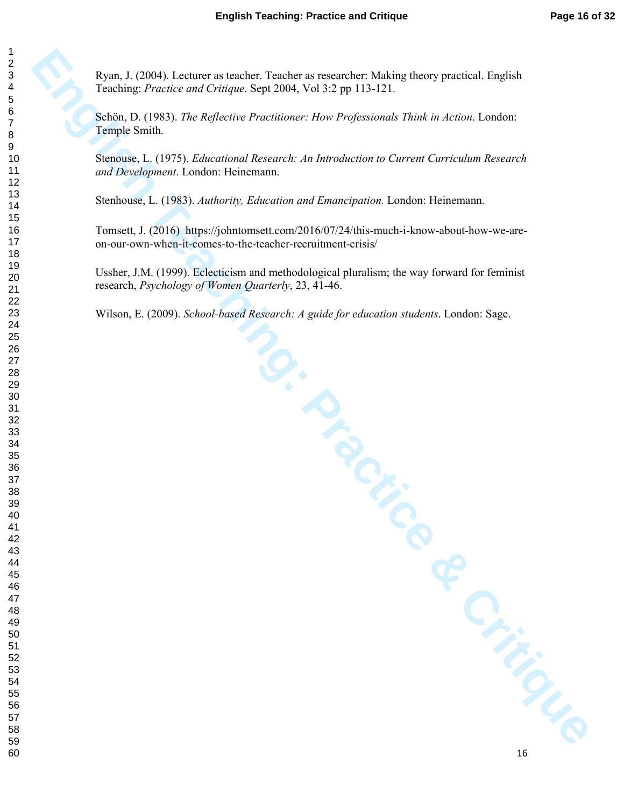Ryan, J. (2004). Lecturer as teacher. Teacher as researcher: Making theory practical. English Teaching: *Practice and Critique*. Sept 2004, Vol 3:2 pp 113-121.

Schön, D. (1983). *The Reflective Practitioner: How Professionals Think in Action*. London: Temple Smith.

**Equity 1, (2004)** Lecture as beached "Teached an executive Making bears practical Truples<br>
Leading: Practice and Critique: Sep 2004, Yell 32 pp 113-121.<br>
Newna, D. (1985). The Refluxation Practicisme: How Professional Pa Stenouse, L. (1975). *Educational Research: An Introduction to Current Curriculum Research and Development*. London: Heinemann.

Stenhouse, L. (1983). *Authority, Education and Emancipation.* London: Heinemann.

Tomsett, J. (2016) https://johntomsett.com/2016/07/24/this-much-i-know-about-how-we-areon-our-own-when-it-comes-to-the-teacher-recruitment-crisis/

Ussher, J.M. (1999). Eclecticism and methodological pluralism; the way forward for feminist research, *Psychology of Women Quarterly*, 23, 41-46.

Wilson, E. (2009). *School-based Research: A guide for education students*. London: Sage.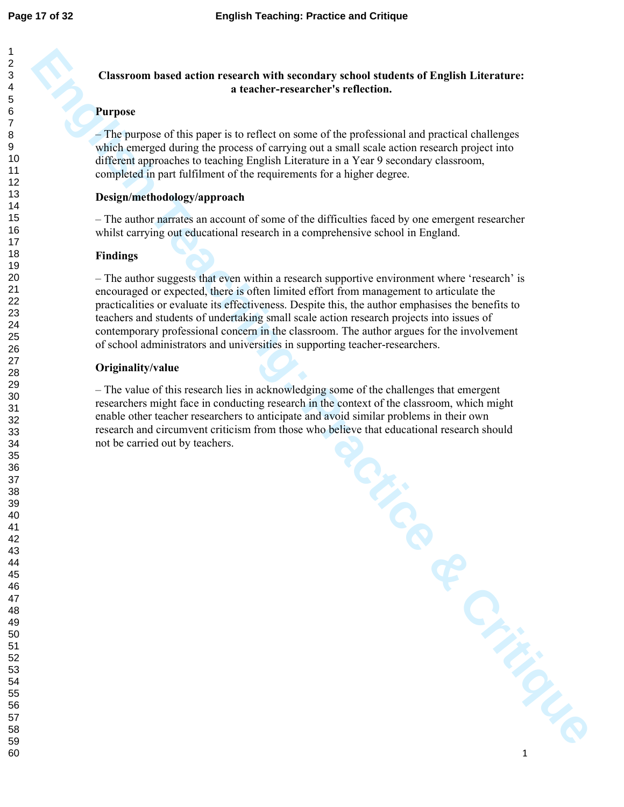### **Classroom based action research with secondary school students of English Literature: a teacher-researcher's reflection.**

### **Purpose**

#### **Design/methodology/approach**

### **Findings**

### **Originality/value**

| <b>Purpose</b><br>- The purpose of this paper is to reflect on some of the professional and practical challenges<br>which emerged during the process of carrying out a small scale action research project into<br>different approaches to teaching English Literature in a Year 9 secondary classroom,<br>completed in part fulfilment of the requirements for a higher degree.<br>Design/methodology/approach<br>- The author narrates an account of some of the difficulties faced by one emergent researcher<br>whilst carrying out educational research in a comprehensive school in England.<br><b>Findings</b><br>- The author suggests that even within a research supportive environment where 'research' is<br>encouraged or expected, there is often limited effort from management to articulate the<br>practicalities or evaluate its effectiveness. Despite this, the author emphasises the benefits to<br>teachers and students of undertaking small scale action research projects into issues of<br>contemporary professional concern in the classroom. The author argues for the involvement<br>of school administrators and universities in supporting teacher-researchers.<br>Originality/value<br>- The value of this research lies in acknowledging some of the challenges that emergent<br>researchers might face in conducting research in the context of the classroom, which might<br>enable other teacher researchers to anticipate and avoid similar problems in their own |         |
|--------------------------------------------------------------------------------------------------------------------------------------------------------------------------------------------------------------------------------------------------------------------------------------------------------------------------------------------------------------------------------------------------------------------------------------------------------------------------------------------------------------------------------------------------------------------------------------------------------------------------------------------------------------------------------------------------------------------------------------------------------------------------------------------------------------------------------------------------------------------------------------------------------------------------------------------------------------------------------------------------------------------------------------------------------------------------------------------------------------------------------------------------------------------------------------------------------------------------------------------------------------------------------------------------------------------------------------------------------------------------------------------------------------------------------------------------------------------------------------------------------|---------|
|                                                                                                                                                                                                                                                                                                                                                                                                                                                                                                                                                                                                                                                                                                                                                                                                                                                                                                                                                                                                                                                                                                                                                                                                                                                                                                                                                                                                                                                                                                        |         |
|                                                                                                                                                                                                                                                                                                                                                                                                                                                                                                                                                                                                                                                                                                                                                                                                                                                                                                                                                                                                                                                                                                                                                                                                                                                                                                                                                                                                                                                                                                        |         |
|                                                                                                                                                                                                                                                                                                                                                                                                                                                                                                                                                                                                                                                                                                                                                                                                                                                                                                                                                                                                                                                                                                                                                                                                                                                                                                                                                                                                                                                                                                        |         |
|                                                                                                                                                                                                                                                                                                                                                                                                                                                                                                                                                                                                                                                                                                                                                                                                                                                                                                                                                                                                                                                                                                                                                                                                                                                                                                                                                                                                                                                                                                        |         |
|                                                                                                                                                                                                                                                                                                                                                                                                                                                                                                                                                                                                                                                                                                                                                                                                                                                                                                                                                                                                                                                                                                                                                                                                                                                                                                                                                                                                                                                                                                        |         |
|                                                                                                                                                                                                                                                                                                                                                                                                                                                                                                                                                                                                                                                                                                                                                                                                                                                                                                                                                                                                                                                                                                                                                                                                                                                                                                                                                                                                                                                                                                        |         |
|                                                                                                                                                                                                                                                                                                                                                                                                                                                                                                                                                                                                                                                                                                                                                                                                                                                                                                                                                                                                                                                                                                                                                                                                                                                                                                                                                                                                                                                                                                        |         |
| research and circumvent criticism from those who believe that educational research should<br>not be carried out by teachers.                                                                                                                                                                                                                                                                                                                                                                                                                                                                                                                                                                                                                                                                                                                                                                                                                                                                                                                                                                                                                                                                                                                                                                                                                                                                                                                                                                           |         |
| TOF                                                                                                                                                                                                                                                                                                                                                                                                                                                                                                                                                                                                                                                                                                                                                                                                                                                                                                                                                                                                                                                                                                                                                                                                                                                                                                                                                                                                                                                                                                    |         |
|                                                                                                                                                                                                                                                                                                                                                                                                                                                                                                                                                                                                                                                                                                                                                                                                                                                                                                                                                                                                                                                                                                                                                                                                                                                                                                                                                                                                                                                                                                        |         |
|                                                                                                                                                                                                                                                                                                                                                                                                                                                                                                                                                                                                                                                                                                                                                                                                                                                                                                                                                                                                                                                                                                                                                                                                                                                                                                                                                                                                                                                                                                        | Critics |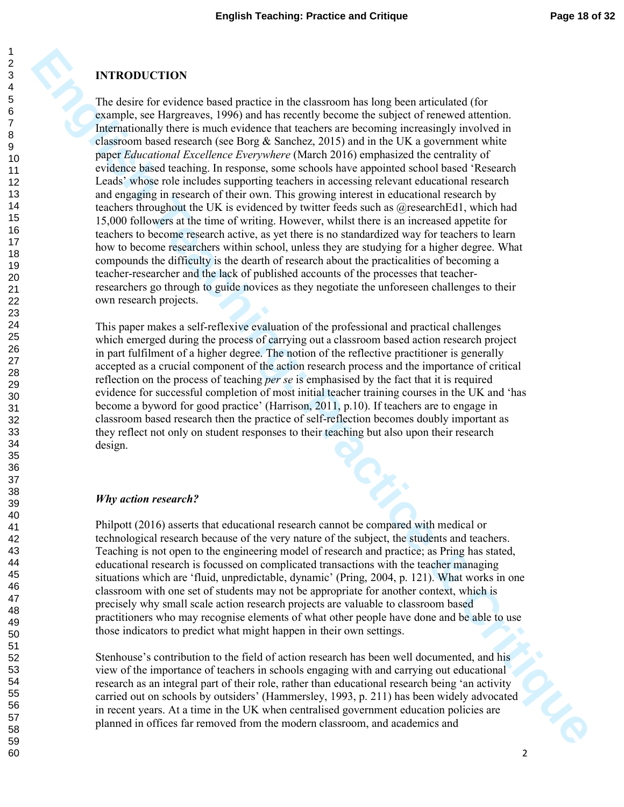### **INTRODUCTION**

**ENTRODUCTION**<br>The distinct for evidence based particle in the chiatroom has lead been arrivalent of formulation<br>complete, see English Teaching Teaching Teaching the control of the subject of the<br>relation of the subject of The desire for evidence based practice in the classroom has long been articulated (for example, see Hargreaves, 1996) and has recently become the subject of renewed attention. Internationally there is much evidence that teachers are becoming increasingly involved in classroom based research (see Borg  $\&$  Sanchez, 2015) and in the UK a government white paper *Educational Excellence Everywhere* (March 2016) emphasized the centrality of evidence based teaching. In response, some schools have appointed school based 'Research Leads' whose role includes supporting teachers in accessing relevant educational research and engaging in research of their own. This growing interest in educational research by teachers throughout the UK is evidenced by twitter feeds such as @researchEd1, which had 15,000 followers at the time of writing. However, whilst there is an increased appetite for teachers to become research active, as yet there is no standardized way for teachers to learn how to become researchers within school, unless they are studying for a higher degree. What compounds the difficulty is the dearth of research about the practicalities of becoming a teacher-researcher and the lack of published accounts of the processes that teacherresearchers go through to guide novices as they negotiate the unforeseen challenges to their own research projects.

This paper makes a self-reflexive evaluation of the professional and practical challenges which emerged during the process of carrying out a classroom based action research project in part fulfilment of a higher degree. The notion of the reflective practitioner is generally accepted as a crucial component of the action research process and the importance of critical reflection on the process of teaching *per se* is emphasised by the fact that it is required evidence for successful completion of most initial teacher training courses in the UK and 'has become a byword for good practice' (Harrison, 2011, p.10). If teachers are to engage in classroom based research then the practice of self-reflection becomes doubly important as they reflect not only on student responses to their teaching but also upon their research design.

### *Why action research?*

Philpott (2016) asserts that educational research cannot be compared with medical or technological research because of the very nature of the subject, the students and teachers. Teaching is not open to the engineering model of research and practice; as Pring has stated, educational research is focussed on complicated transactions with the teacher managing situations which are 'fluid, unpredictable, dynamic' (Pring, 2004, p. 121). What works in one classroom with one set of students may not be appropriate for another context, which is precisely why small scale action research projects are valuable to classroom based practitioners who may recognise elements of what other people have done and be able to use those indicators to predict what might happen in their own settings.

Stenhouse's contribution to the field of action research has been well documented, and his view of the importance of teachers in schools engaging with and carrying out educational research as an integral part of their role, rather than educational research being 'an activity carried out on schools by outsiders' (Hammersley, 1993, p. 211) has been widely advocated in recent years. At a time in the UK when centralised government education policies are planned in offices far removed from the modern classroom, and academics and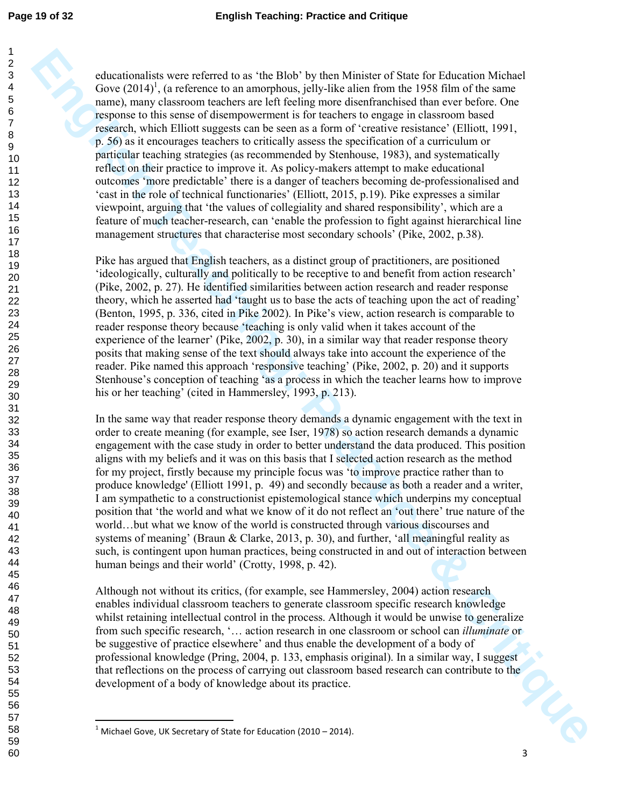60

**Enhanced by sever referred basis.** The Hide' hy then Minister of Natio Invitation Michael Gross Critics Critics Critics Critics Critics Critics Critics Critics Critics Critics Critics Critics Critics Critics Critics Criti educationalists were referred to as 'the Blob' by then Minister of State for Education Michael Gove  $(2014)^1$ , (a reference to an amorphous, jelly-like alien from the 1958 film of the same name), many classroom teachers are left feeling more disenfranchised than ever before. One response to this sense of disempowerment is for teachers to engage in classroom based research, which Elliott suggests can be seen as a form of 'creative resistance' (Elliott, 1991, p. 56) as it encourages teachers to critically assess the specification of a curriculum or particular teaching strategies (as recommended by Stenhouse, 1983), and systematically reflect on their practice to improve it. As policy-makers attempt to make educational outcomes 'more predictable' there is a danger of teachers becoming de-professionalised and 'cast in the role of technical functionaries' (Elliott, 2015, p.19). Pike expresses a similar viewpoint, arguing that 'the values of collegiality and shared responsibility', which are a feature of much teacher-research, can 'enable the profession to fight against hierarchical line management structures that characterise most secondary schools' (Pike, 2002, p.38).

Pike has argued that English teachers, as a distinct group of practitioners, are positioned 'ideologically, culturally and politically to be receptive to and benefit from action research' (Pike, 2002, p. 27). He identified similarities between action research and reader response theory, which he asserted had 'taught us to base the acts of teaching upon the act of reading' (Benton, 1995, p. 336, cited in Pike 2002). In Pike's view, action research is comparable to reader response theory because 'teaching is only valid when it takes account of the experience of the learner' (Pike, 2002, p. 30), in a similar way that reader response theory posits that making sense of the text should always take into account the experience of the reader. Pike named this approach 'responsive teaching' (Pike, 2002, p. 20) and it supports Stenhouse's conception of teaching 'as a process in which the teacher learns how to improve his or her teaching' (cited in Hammersley, 1993, p. 213).

In the same way that reader response theory demands a dynamic engagement with the text in order to create meaning (for example, see Iser, 1978) so action research demands a dynamic engagement with the case study in order to better understand the data produced. This position aligns with my beliefs and it was on this basis that I selected action research as the method for my project, firstly because my principle focus was 'to improve practice rather than to produce knowledge' (Elliott 1991, p. 49) and secondly because as both a reader and a writer, I am sympathetic to a constructionist epistemological stance which underpins my conceptual position that 'the world and what we know of it do not reflect an 'out there' true nature of the world…but what we know of the world is constructed through various discourses and systems of meaning' (Braun & Clarke, 2013, p. 30), and further, 'all meaningful reality as such, is contingent upon human practices, being constructed in and out of interaction between human beings and their world' (Crotty, 1998, p. 42).

iQLIS Although not without its critics, (for example, see Hammersley, 2004) action research enables individual classroom teachers to generate classroom specific research knowledge whilst retaining intellectual control in the process. Although it would be unwise to generalize from such specific research, '… action research in one classroom or school can *illuminate* or be suggestive of practice elsewhere' and thus enable the development of a body of professional knowledge (Pring, 2004, p. 133, emphasis original). In a similar way, I suggest that reflections on the process of carrying out classroom based research can contribute to the development of a body of knowledge about its practice.

 $\overline{a}$ 

 $1$  Michael Gove, UK Secretary of State for Education (2010 – 2014).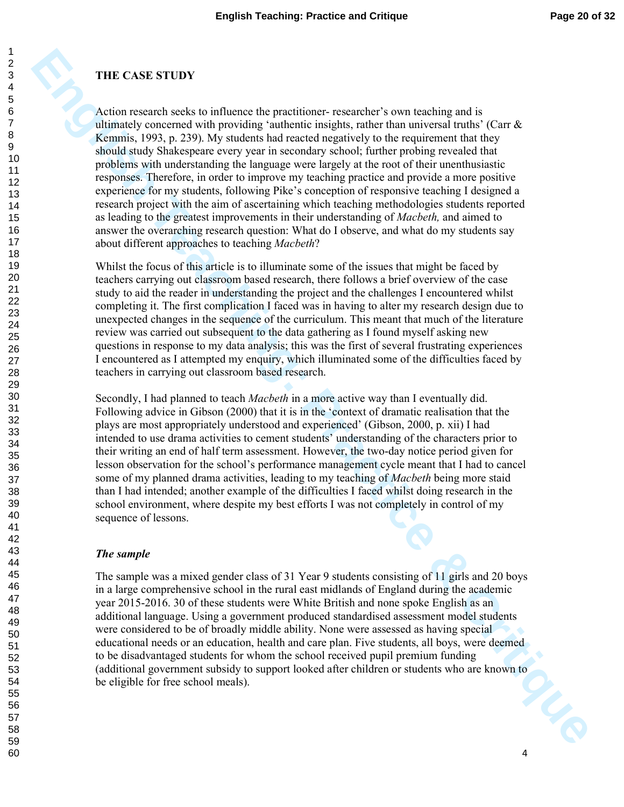### **THE CASE STUDY**

**ETIE CAST STUDY**<br>A croince research eachs to influence the practitioners researched a soon teaching and is obtinued crosses and the properties in the two states in the system of the system can be a state of the system of Action research seeks to influence the practitioner- researcher's own teaching and is ultimately concerned with providing 'authentic insights, rather than universal truths' (Carr  $\&$ Kemmis, 1993, p. 239). My students had reacted negatively to the requirement that they should study Shakespeare every year in secondary school; further probing revealed that problems with understanding the language were largely at the root of their unenthusiastic responses. Therefore, in order to improve my teaching practice and provide a more positive experience for my students, following Pike's conception of responsive teaching I designed a research project with the aim of ascertaining which teaching methodologies students reported as leading to the greatest improvements in their understanding of *Macbeth,* and aimed to answer the overarching research question: What do I observe, and what do my students say about different approaches to teaching *Macbeth*?

Whilst the focus of this article is to illuminate some of the issues that might be faced by teachers carrying out classroom based research, there follows a brief overview of the case study to aid the reader in understanding the project and the challenges I encountered whilst completing it. The first complication I faced was in having to alter my research design due to unexpected changes in the sequence of the curriculum. This meant that much of the literature review was carried out subsequent to the data gathering as I found myself asking new questions in response to my data analysis; this was the first of several frustrating experiences I encountered as I attempted my enquiry, which illuminated some of the difficulties faced by teachers in carrying out classroom based research.

Secondly, I had planned to teach *Macbeth* in a more active way than I eventually did. Following advice in Gibson (2000) that it is in the 'context of dramatic realisation that the plays are most appropriately understood and experienced' (Gibson, 2000, p. xii) I had intended to use drama activities to cement students' understanding of the characters prior to their writing an end of half term assessment. However, the two-day notice period given for lesson observation for the school's performance management cycle meant that I had to cancel some of my planned drama activities, leading to my teaching of *Macbeth* being more staid than I had intended; another example of the difficulties I faced whilst doing research in the school environment, where despite my best efforts I was not completely in control of my sequence of lessons.

#### *The sample*

The sample was a mixed gender class of 31 Year 9 students consisting of 11 girls and 20 boys in a large comprehensive school in the rural east midlands of England during the academic year 2015-2016. 30 of these students were White British and none spoke English as an additional language. Using a government produced standardised assessment model students were considered to be of broadly middle ability. None were assessed as having special educational needs or an education, health and care plan. Five students, all boys, were deemed to be disadvantaged students for whom the school received pupil premium funding (additional government subsidy to support looked after children or students who are known to<br>be eligible for free school meals). be eligible for free school meals).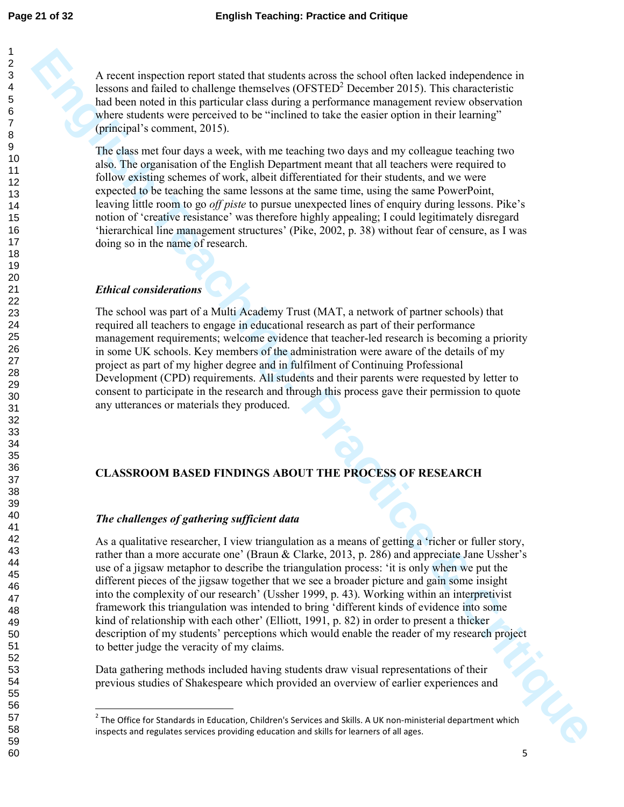A recent inspection report stated that students across the school often lacked independence in lessons and failed to challenge themselves  $(OFSTED<sup>2</sup>$  December 2015). This characteristic had been noted in this particular class during a performance management review observation where students were perceived to be "inclined to take the easier option in their learning" (principal's comment, 2015).

The class met four days a week, with me teaching two days and my colleague teaching two also. The organisation of the English Department meant that all teachers were required to follow existing schemes of work, albeit differentiated for their students, and we were expected to be teaching the same lessons at the same time, using the same PowerPoint, leaving little room to go *off piste* to pursue unexpected lines of enquiry during lessons. Pike's notion of 'creative resistance' was therefore highly appealing; I could legitimately disregard 'hierarchical line management structures' (Pike, 2002, p. 38) without fear of censure, as I was doing so in the name of research.

### *Ethical considerations*

l,

The school was part of a Multi Academy Trust (MAT, a network of partner schools) that required all teachers to engage in educational research as part of their performance management requirements; welcome evidence that teacher-led research is becoming a priority in some UK schools. Key members of the administration were aware of the details of my project as part of my higher degree and in fulfilment of Continuing Professional Development (CPD) requirements. All students and their parents were requested by letter to consent to participate in the research and through this process gave their permission to quote any utterances or materials they produced.

### **CLASSROOM BASED FINDINGS ABOUT THE PROCESS OF RESEARCH**

### *The challenges of gathering sufficient data*

A neare in equation regard state distributed in the state of 10.8 in the state of the state of the state of the state of the state of the state of the state of the state of the state of the state of the state of the state As a qualitative researcher, I view triangulation as a means of getting a 'richer or fuller story, rather than a more accurate one' (Braun & Clarke, 2013, p. 286) and appreciate Jane Ussher's use of a jigsaw metaphor to describe the triangulation process: 'it is only when we put the different pieces of the jigsaw together that we see a broader picture and gain some insight into the complexity of our research' (Ussher 1999, p. 43). Working within an interpretivist framework this triangulation was intended to bring 'different kinds of evidence into some kind of relationship with each other' (Elliott, 1991, p. 82) in order to present a thicker description of my students' perceptions which would enable the reader of my research project to better judge the veracity of my claims.

Data gathering methods included having students draw visual representations of their previous studies of Shakespeare which provided an overview of earlier experiences and

 The Office for Standards in Education, Children's Services and Skills. A UK non-ministerial department which inspects and regulates services providing education and skills for learners of all ages.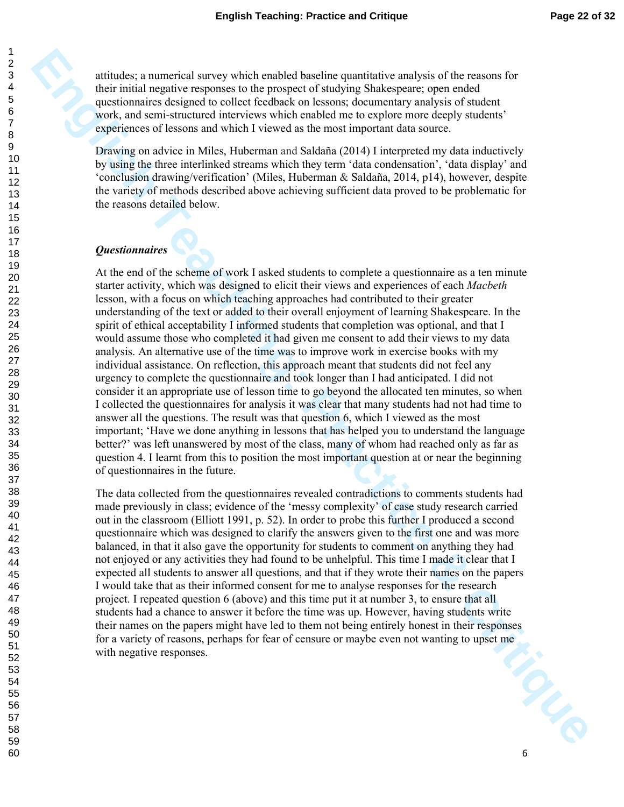attitudes; a numerical survey which enabled baseline quantitative analysis of the reasons for their initial negative responses to the prospect of studying Shakespeare; open ended questionnaires designed to collect feedback on lessons; documentary analysis of student work, and semi-structured interviews which enabled me to explore more deeply students' experiences of lessons and which I viewed as the most important data source.

Drawing on advice in Miles, Huberman and Saldaña (2014) I interpreted my data inductively by using the three interlinked streams which they term 'data condensation', 'data display' and 'conclusion drawing/verification' (Miles, Huberman & Saldaña, 2014, p14), however, despite the variety of methods described above achieving sufficient data proved to be problematic for the reasons detailed below.

#### *Questionnaires*

**Entraine a momentual strong which drainled hundren quantitative analysis of the neasons for the properties of the properties of the present of the present of the properties of the state of the control of the state of the** At the end of the scheme of work I asked students to complete a questionnaire as a ten minute starter activity, which was designed to elicit their views and experiences of each *Macbeth* lesson, with a focus on which teaching approaches had contributed to their greater understanding of the text or added to their overall enjoyment of learning Shakespeare. In the spirit of ethical acceptability I informed students that completion was optional, and that I would assume those who completed it had given me consent to add their views to my data analysis. An alternative use of the time was to improve work in exercise books with my individual assistance. On reflection, this approach meant that students did not feel any urgency to complete the questionnaire and took longer than I had anticipated. I did not consider it an appropriate use of lesson time to go beyond the allocated ten minutes, so when I collected the questionnaires for analysis it was clear that many students had not had time to answer all the questions. The result was that question 6, which I viewed as the most important; 'Have we done anything in lessons that has helped you to understand the language better?' was left unanswered by most of the class, many of whom had reached only as far as question 4. I learnt from this to position the most important question at or near the beginning of questionnaires in the future.

The data collected from the questionnaires revealed contradictions to comments students had made previously in class; evidence of the 'messy complexity' of case study research carried out in the classroom (Elliott 1991, p. 52). In order to probe this further I produced a second questionnaire which was designed to clarify the answers given to the first one and was more balanced, in that it also gave the opportunity for students to comment on anything they had not enjoyed or any activities they had found to be unhelpful. This time I made it clear that I expected all students to answer all questions, and that if they wrote their names on the papers I would take that as their informed consent for me to analyse responses for the research project. I repeated question 6 (above) and this time put it at number 3, to ensure that all students had a chance to answer it before the time was up. However, having students write their names on the papers might have led to them not being entirely honest in their responses for a variety of reasons, perhaps for fear of censure or maybe even not wanting to upset me with negative responses.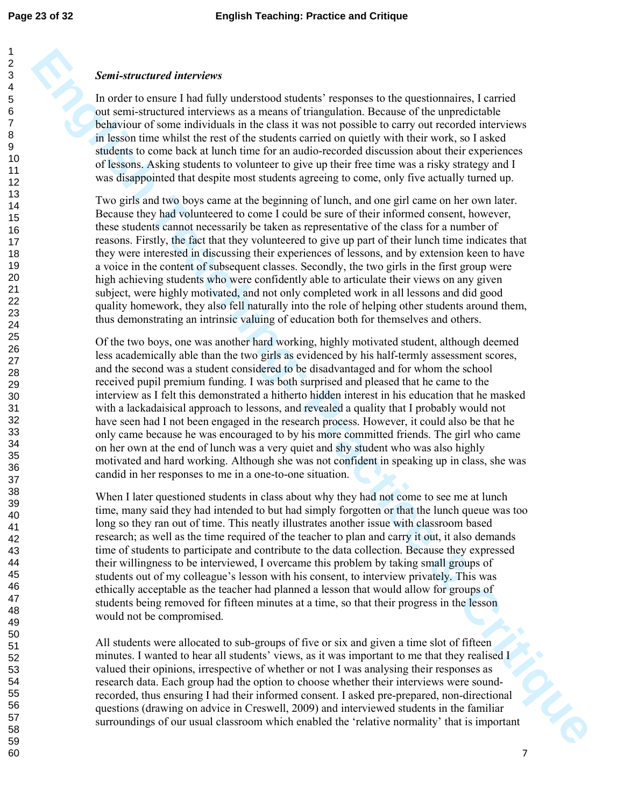#### *Semi-structured interviews*

In order to ensure I had fully understood students' responses to the questionnaires, I carried out semi-structured interviews as a means of triangulation. Because of the unpredictable behaviour of some individuals in the class it was not possible to carry out recorded interviews in lesson time whilst the rest of the students carried on quietly with their work, so I asked students to come back at lunch time for an audio-recorded discussion about their experiences of lessons. Asking students to volunteer to give up their free time was a risky strategy and I was disappointed that despite most students agreeing to come, only five actually turned up.

Two girls and two boys came at the beginning of lunch, and one girl came on her own later. Because they had volunteered to come I could be sure of their informed consent, however, these students cannot necessarily be taken as representative of the class for a number of reasons. Firstly, the fact that they volunteered to give up part of their lunch time indicates that they were interested in discussing their experiences of lessons, and by extension keen to have a voice in the content of subsequent classes. Secondly, the two girls in the first group were high achieving students who were confidently able to articulate their views on any given subject, were highly motivated, and not only completed work in all lessons and did good quality homework, they also fell naturally into the role of helping other students around them, thus demonstrating an intrinsic valuing of education both for themselves and others.

**English Teaching Constant Constant Constant Constant Constant Constant Constant Constant Constant Constant Constant Constant Constant Constant Constant Constant Constant Constant Constant Constant Constant Constant Consta** Of the two boys, one was another hard working, highly motivated student, although deemed less academically able than the two girls as evidenced by his half-termly assessment scores, and the second was a student considered to be disadvantaged and for whom the school received pupil premium funding. I was both surprised and pleased that he came to the interview as I felt this demonstrated a hitherto hidden interest in his education that he masked with a lackadaisical approach to lessons, and revealed a quality that I probably would not have seen had I not been engaged in the research process. However, it could also be that he only came because he was encouraged to by his more committed friends. The girl who came on her own at the end of lunch was a very quiet and shy student who was also highly motivated and hard working. Although she was not confident in speaking up in class, she was candid in her responses to me in a one-to-one situation.

When I later questioned students in class about why they had not come to see me at lunch time, many said they had intended to but had simply forgotten or that the lunch queue was too long so they ran out of time. This neatly illustrates another issue with classroom based research; as well as the time required of the teacher to plan and carry it out, it also demands time of students to participate and contribute to the data collection. Because they expressed their willingness to be interviewed, I overcame this problem by taking small groups of students out of my colleague's lesson with his consent, to interview privately. This was ethically acceptable as the teacher had planned a lesson that would allow for groups of students being removed for fifteen minutes at a time, so that their progress in the lesson would not be compromised.

All students were allocated to sub-groups of five or six and given a time slot of fifteen minutes. I wanted to hear all students' views, as it was important to me that they realised I valued their opinions, irrespective of whether or not I was analysing their responses as research data. Each group had the option to choose whether their interviews were soundrecorded, thus ensuring I had their informed consent. I asked pre-prepared, non-directional questions (drawing on advice in Creswell, 2009) and interviewed students in the familiar surroundings of our usual classroom which enabled the 'relative normality' that is important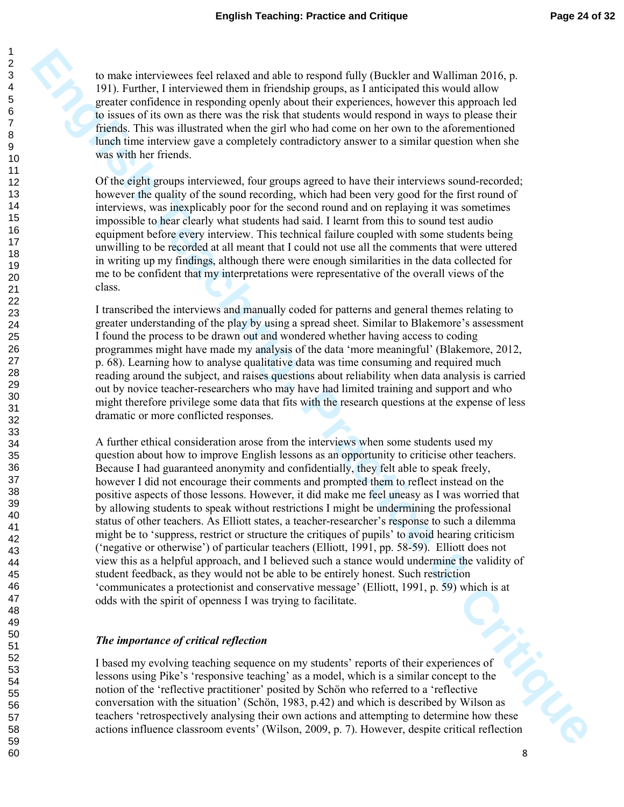to make interviewees feel relaxed and able to respond fully (Buckler and Walliman 2016, p. 191). Further, I interviewed them in friendship groups, as I anticipated this would allow greater confidence in responding openly about their experiences, however this approach led to issues of its own as there was the risk that students would respond in ways to please their friends. This was illustrated when the girl who had come on her own to the aforementioned lunch time interview gave a completely contradictory answer to a similar question when she was with her friends.

Of the eight groups interviewed, four groups agreed to have their interviews sound-recorded; however the quality of the sound recording, which had been very good for the first round of interviews, was inexplicably poor for the second round and on replaying it was sometimes impossible to hear clearly what students had said. I learnt from this to sound test audio equipment before every interview. This technical failure coupled with some students being unwilling to be recorded at all meant that I could not use all the comments that were uttered in writing up my findings, although there were enough similarities in the data collected for me to be confident that my interpretations were representative of the overall views of the class.

I transcribed the interviews and manually coded for patterns and general themes relating to greater understanding of the play by using a spread sheet. Similar to Blakemore's assessment I found the process to be drawn out and wondered whether having access to coding programmes might have made my analysis of the data 'more meaningful' (Blakemore, 2012, p. 68). Learning how to analyse qualitative data was time consuming and required much reading around the subject, and raises questions about reliability when data analysis is carried out by novice teacher-researchers who may have had limited training and support and who might therefore privilege some data that fits with the research questions at the expense of less dramatic or more conflicted responses.

Its make meteorogens feel nelsword online to repopent (i.d.) (Hacker and Warbours 2016, p<br> **EST)** trained the meteorogens of the method of grange, a functional time same of the statistical<br> **English Teaching System Critica** A further ethical consideration arose from the interviews when some students used my question about how to improve English lessons as an opportunity to criticise other teachers. Because I had guaranteed anonymity and confidentially, they felt able to speak freely, however I did not encourage their comments and prompted them to reflect instead on the positive aspects of those lessons. However, it did make me feel uneasy as I was worried that by allowing students to speak without restrictions I might be undermining the professional status of other teachers. As Elliott states, a teacher-researcher's response to such a dilemma might be to 'suppress, restrict or structure the critiques of pupils' to avoid hearing criticism ('negative or otherwise') of particular teachers (Elliott, 1991, pp. 58-59). Elliott does not view this as a helpful approach, and I believed such a stance would undermine the validity of student feedback, as they would not be able to be entirely honest. Such restriction 'communicates a protectionist and conservative message' (Elliott, 1991, p. 59) which is at odds with the spirit of openness I was trying to facilitate.

#### *The importance of critical reflection*

I based my evolving teaching sequence on my students' reports of their experiences of lessons using Pike's 'responsive teaching' as a model, which is a similar concept to the notion of the 'reflective practitioner' posited by Schön who referred to a 'reflective conversation with the situation' (Schön, 1983, p.42) and which is described by Wilson as teachers 'retrospectively analysing their own actions and attempting to determine how these actions influence classroom events' (Wilson, 2009, p. 7). However, despite critical reflection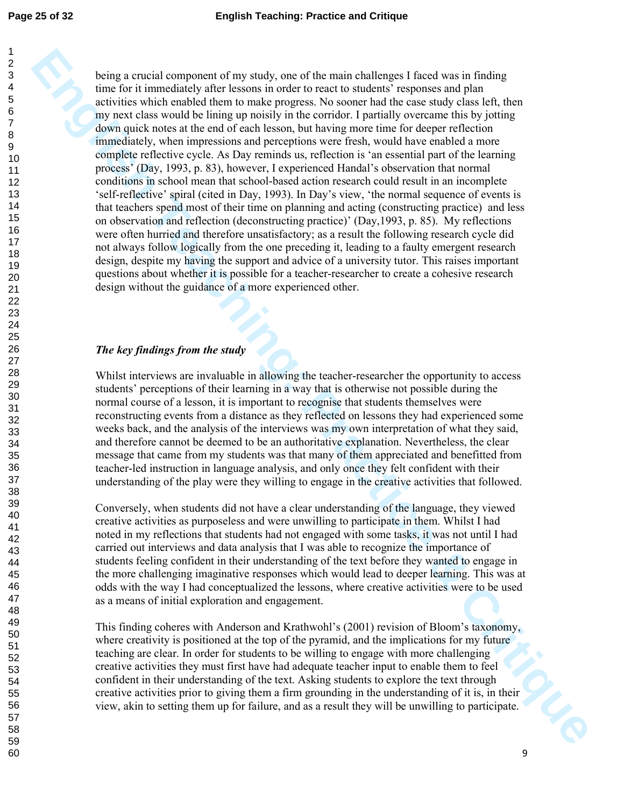**English the control component of thy stank), one of the munner bride pays 1 food some in the munner bride in the munner bride in the control of the munder of the munder of the munder of the munder of the munder of the mu** being a crucial component of my study, one of the main challenges I faced was in finding time for it immediately after lessons in order to react to students' responses and plan activities which enabled them to make progress. No sooner had the case study class left, then my next class would be lining up noisily in the corridor. I partially overcame this by jotting down quick notes at the end of each lesson, but having more time for deeper reflection immediately, when impressions and perceptions were fresh, would have enabled a more complete reflective cycle. As Day reminds us, reflection is 'an essential part of the learning process' (Day, 1993, p. 83), however, I experienced Handal's observation that normal conditions in school mean that school-based action research could result in an incomplete 'self-reflective' spiral (cited in Day, 1993). In Day's view, 'the normal sequence of events is that teachers spend most of their time on planning and acting (constructing practice) and less on observation and reflection (deconstructing practice)' (Day,1993, p. 85). My reflections were often hurried and therefore unsatisfactory; as a result the following research cycle did not always follow logically from the one preceding it, leading to a faulty emergent research design, despite my having the support and advice of a university tutor. This raises important questions about whether it is possible for a teacher-researcher to create a cohesive research design without the guidance of a more experienced other.

#### *The key findings from the study*

Whilst interviews are invaluable in allowing the teacher-researcher the opportunity to access students' perceptions of their learning in a way that is otherwise not possible during the normal course of a lesson, it is important to recognise that students themselves were reconstructing events from a distance as they reflected on lessons they had experienced some weeks back, and the analysis of the interviews was my own interpretation of what they said, and therefore cannot be deemed to be an authoritative explanation. Nevertheless, the clear message that came from my students was that many of them appreciated and benefitted from teacher-led instruction in language analysis, and only once they felt confident with their understanding of the play were they willing to engage in the creative activities that followed.

Conversely, when students did not have a clear understanding of the language, they viewed creative activities as purposeless and were unwilling to participate in them. Whilst I had noted in my reflections that students had not engaged with some tasks, it was not until I had carried out interviews and data analysis that I was able to recognize the importance of students feeling confident in their understanding of the text before they wanted to engage in the more challenging imaginative responses which would lead to deeper learning. This was at odds with the way I had conceptualized the lessons, where creative activities were to be used as a means of initial exploration and engagement.

This finding coheres with Anderson and Krathwohl's (2001) revision of Bloom's taxonomy, where creativity is positioned at the top of the pyramid, and the implications for my future teaching are clear. In order for students to be willing to engage with more challenging creative activities they must first have had adequate teacher input to enable them to feel confident in their understanding of the text. Asking students to explore the text through creative activities prior to giving them a firm grounding in the understanding of it is, in their view, akin to setting them up for failure, and as a result they will be unwilling to participate.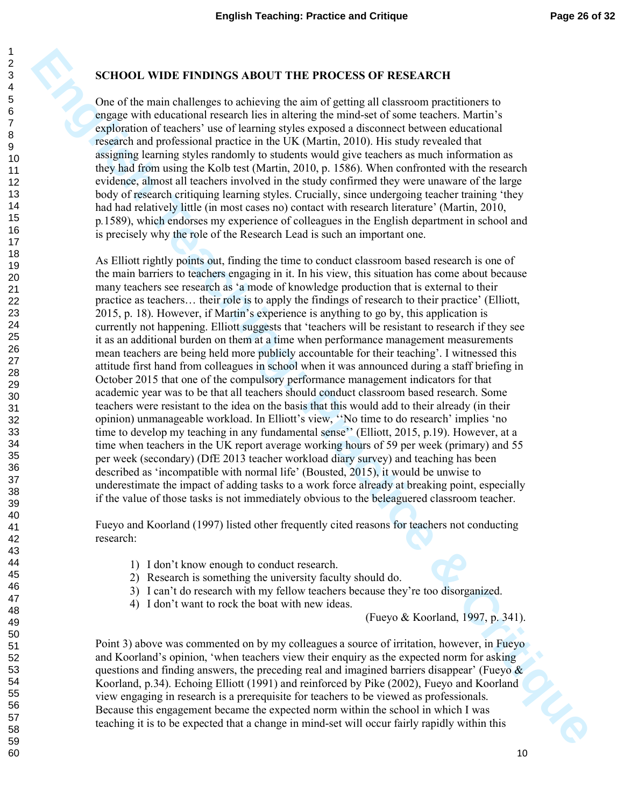#### **SCHOOL WIDE FINDINGS ABOUT THE PROCESS OF RESEARCH**

One of the main challenges to achieving the aim of getting all classroom practitioners to engage with educational research lies in altering the mind-set of some teachers. Martin's exploration of teachers' use of learning styles exposed a disconnect between educational research and professional practice in the UK (Martin, 2010). His study revealed that assigning learning styles randomly to students would give teachers as much information as they had from using the Kolb test (Martin, 2010, p. 1586). When confronted with the research evidence, almost all teachers involved in the study confirmed they were unaware of the large body of research critiquing learning styles. Crucially, since undergoing teacher training 'they had had relatively little (in most cases no) contact with research literature' (Martin, 2010, p*.*1589), which endorses my experience of colleagues in the English department in school and is precisely why the role of the Research Lead is such an important one.

**ECHOOL WIDE FRIDINGS ABOUT THE PROCESS OF RESEARCH<br>One of the main challenges to achieving the sim of getting all chancom practitiones to<br>english the simulation of the critical control and the proposition of the<br>critical** As Elliott rightly points out, finding the time to conduct classroom based research is one of the main barriers to teachers engaging in it. In his view, this situation has come about because many teachers see research as 'a mode of knowledge production that is external to their practice as teachers… their role is to apply the findings of research to their practice' (Elliott, 2015, p. 18). However, if Martin's experience is anything to go by, this application is currently not happening. Elliott suggests that 'teachers will be resistant to research if they see it as an additional burden on them at a time when performance management measurements mean teachers are being held more publicly accountable for their teaching'. I witnessed this attitude first hand from colleagues in school when it was announced during a staff briefing in October 2015 that one of the compulsory performance management indicators for that academic year was to be that all teachers should conduct classroom based research. Some teachers were resistant to the idea on the basis that this would add to their already (in their opinion) unmanageable workload. In Elliott's view, ''No time to do research' implies 'no time to develop my teaching in any fundamental sense'' (Elliott, 2015, p.19). However, at a time when teachers in the UK report average working hours of 59 per week (primary) and 55 per week (secondary) (DfE 2013 teacher workload diary survey) and teaching has been described as 'incompatible with normal life' (Bousted, 2015), it would be unwise to underestimate the impact of adding tasks to a work force already at breaking point, especially if the value of those tasks is not immediately obvious to the beleaguered classroom teacher.

Fueyo and Koorland (1997) listed other frequently cited reasons for teachers not conducting research:

- 1) I don't know enough to conduct research.
- 2) Research is something the university faculty should do.
- 3) I can't do research with my fellow teachers because they're too disorganized.
- 4) I don't want to rock the boat with new ideas.

(Fueyo & Koorland, 1997, p. 341).

Point 3) above was commented on by my colleagues a source of irritation, however, in Fueyo and Koorland's opinion, 'when teachers view their enquiry as the expected norm for asking questions and finding answers, the preceding real and imagined barriers disappear' (Fueyo  $\&$ Koorland, p.34). Echoing Elliott (1991) and reinforced by Pike (2002), Fueyo and Koorland view engaging in research is a prerequisite for teachers to be viewed as professionals. Because this engagement became the expected norm within the school in which I was teaching it is to be expected that a change in mind-set will occur fairly rapidly within this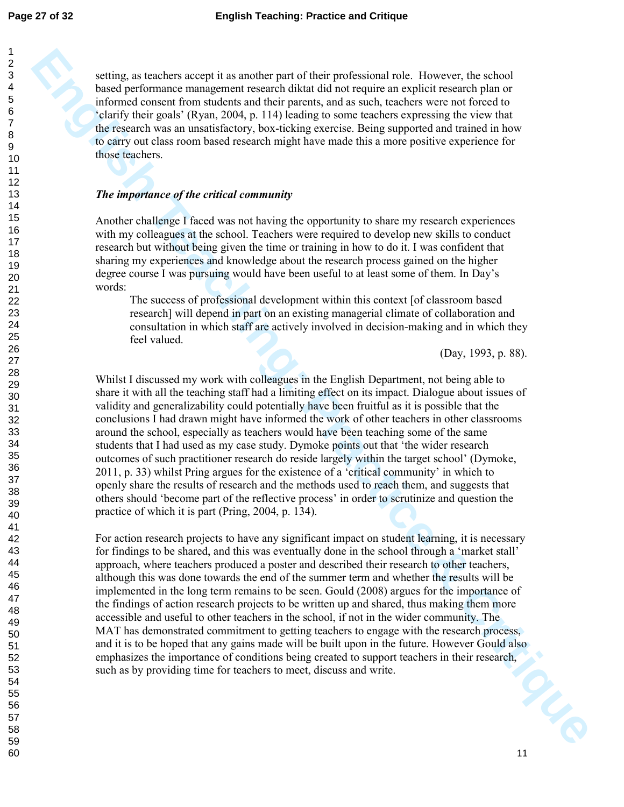setting, as teachers accept it as another part of their professional role. However, the school based performance management research diktat did not require an explicit research plan or informed consent from students and their parents, and as such, teachers were not forced to 'clarify their goals' (Ryan, 2004, p. 114) leading to some teachers expressing the view that the research was an unsatisfactory, box-ticking exercise. Being supported and trained in how to carry out class room based research might have made this a more positive experience for those teachers.

#### *The importance of the critical community*

Another challenge I faced was not having the opportunity to share my research experiences with my colleagues at the school. Teachers were required to develop new skills to conduct research but without being given the time or training in how to do it. I was confident that sharing my experiences and knowledge about the research process gained on the higher degree course I was pursuing would have been useful to at least some of them. In Day's

The success of professional development within this context [of classroom based research] will depend in part on an existing managerial climate of collaboration and consultation in which staff are actively involved in decision-making and in which they feel valued.

(Day, 1993, p. 88).

Whilst I discussed my work with colleagues in the English Department, not being able to share it with all the teaching staff had a limiting effect on its impact. Dialogue about issues of validity and generalizability could potentially have been fruitful as it is possible that the conclusions I had drawn might have informed the work of other teachers in other classrooms around the school, especially as teachers would have been teaching some of the same students that I had used as my case study. Dymoke points out that 'the wider research outcomes of such practitioner research do reside largely within the target school' (Dymoke, 2011, p. 33) whilst Pring argues for the existence of a 'critical community' in which to openly share the results of research and the methods used to reach them, and suggests that others should 'become part of the reflective process' in order to scrutinize and question the practice of which it is part (Pring, 2004, p. 134).

withing, as benches uscept it as another part of their professional risks. These case in the main term of the case of the critical state of the case of the critical state of the case of the case of the case of the case of For action research projects to have any significant impact on student learning, it is necessary for findings to be shared, and this was eventually done in the school through a 'market stall' approach, where teachers produced a poster and described their research to other teachers, although this was done towards the end of the summer term and whether the results will be implemented in the long term remains to be seen. Gould (2008) argues for the importance of the findings of action research projects to be written up and shared, thus making them more accessible and useful to other teachers in the school, if not in the wider community. The MAT has demonstrated commitment to getting teachers to engage with the research process, and it is to be hoped that any gains made will be built upon in the future. However Gould also emphasizes the importance of conditions being created to support teachers in their research, such as by providing time for teachers to meet, discuss and write. such as by providing time for teachers to meet, discuss and write.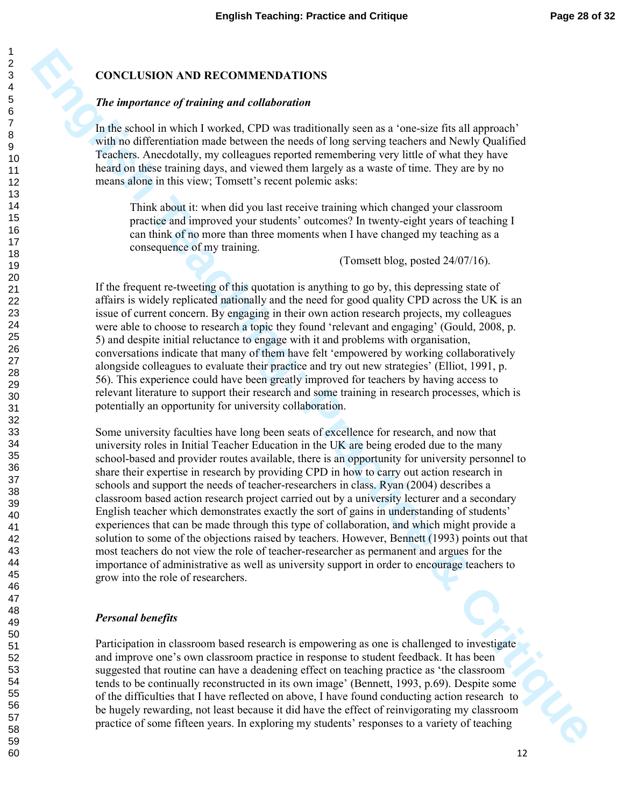#### **CONCLUSION AND RECOMMENDATIONS**

#### *The importance of training and collaboration*

In the school in which I worked, CPD was traditionally seen as a 'one-size fits all approach' with no differentiation made between the needs of long serving teachers and Newly Qualified Teachers. Anecdotally, my colleagues reported remembering very little of what they have heard on these training days, and viewed them largely as a waste of time. They are by no means alone in this view; Tomsett's recent polemic asks:

Think about it: when did you last receive training which changed your classroom practice and improved your students' outcomes? In twenty-eight years of teaching I can think of no more than three moments when I have changed my teaching as a consequence of my training.

(Tomsett blog, posted 24/07/16).

If the frequent re-tweeting of this quotation is anything to go by, this depressing state of affairs is widely replicated nationally and the need for good quality CPD across the UK is an issue of current concern. By engaging in their own action research projects, my colleagues were able to choose to research a topic they found 'relevant and engaging' (Gould, 2008, p. 5) and despite initial reluctance to engage with it and problems with organisation, conversations indicate that many of them have felt 'empowered by working collaboratively alongside colleagues to evaluate their practice and try out new strategies' (Elliot, 1991, p. 56). This experience could have been greatly improved for teachers by having access to relevant literature to support their research and some training in research processes, which is potentially an opportunity for university collaboration.

**EDNET CONSULTS AND RECOMMEDENTIONS**<br>
The importance of training and collular tarities per non-estate fit all approach<br>
such the school consider the school CDV was performed to the system of the specific school consider th Some university faculties have long been seats of excellence for research, and now that university roles in Initial Teacher Education in the UK are being eroded due to the many school-based and provider routes available, there is an opportunity for university personnel to share their expertise in research by providing CPD in how to carry out action research in schools and support the needs of teacher-researchers in class. Ryan (2004) describes a classroom based action research project carried out by a university lecturer and a secondary English teacher which demonstrates exactly the sort of gains in understanding of students' experiences that can be made through this type of collaboration, and which might provide a solution to some of the objections raised by teachers. However, Bennett (1993) points out that most teachers do not view the role of teacher-researcher as permanent and argues for the importance of administrative as well as university support in order to encourage teachers to grow into the role of researchers.

#### *Personal benefits*

Participation in classroom based research is empowering as one is challenged to investigate and improve one's own classroom practice in response to student feedback. It has been suggested that routine can have a deadening effect on teaching practice as 'the classroom tends to be continually reconstructed in its own image' (Bennett, 1993, p.69). Despite some of the difficulties that I have reflected on above, I have found conducting action research to be hugely rewarding, not least because it did have the effect of reinvigorating my classroom practice of some fifteen years. In exploring my students' responses to a variety of teaching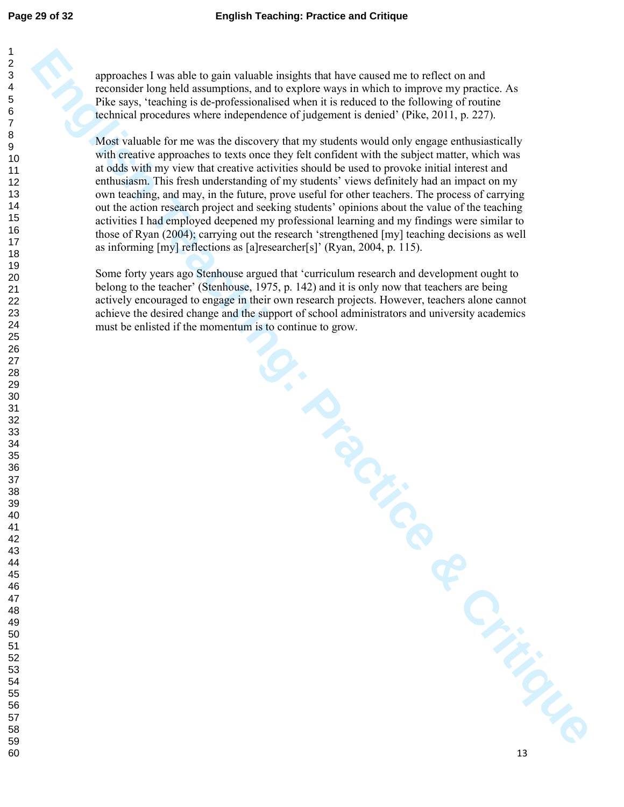approaches I was able to gain valuable insights that have caused me to reflect on and reconsider long held assumptions, and to explore ways in which to improve my practice. As Pike says, 'teaching is de-professionalised when it is reduced to the following of routine technical procedures where independence of judgement is denied' (Pike, 2011, p. 227).

**English Teaching Constrained Teaching Constrained Teaching Constrained Teaching Constrained Teaching line of the system which is transformation to the CritiCan CritiCan CritiCan CritiCan CritiCan CritiCan CritiCan CritiCa** Most valuable for me was the discovery that my students would only engage enthusiastically with creative approaches to texts once they felt confident with the subject matter, which was at odds with my view that creative activities should be used to provoke initial interest and enthusiasm. This fresh understanding of my students' views definitely had an impact on my own teaching, and may, in the future, prove useful for other teachers. The process of carrying out the action research project and seeking students' opinions about the value of the teaching activities I had employed deepened my professional learning and my findings were similar to those of Ryan (2004); carrying out the research 'strengthened [my] teaching decisions as well as informing [my] reflections as [a]researcher[s]' (Ryan, 2004, p. 115).

Some forty years ago Stenhouse argued that 'curriculum research and development ought to belong to the teacher' (Stenhouse, 1975, p. 142) and it is only now that teachers are being actively encouraged to engage in their own research projects. However, teachers alone cannot achieve the desired change and the support of school administrators and university academics must be enlisted if the momentum is to continue to grow.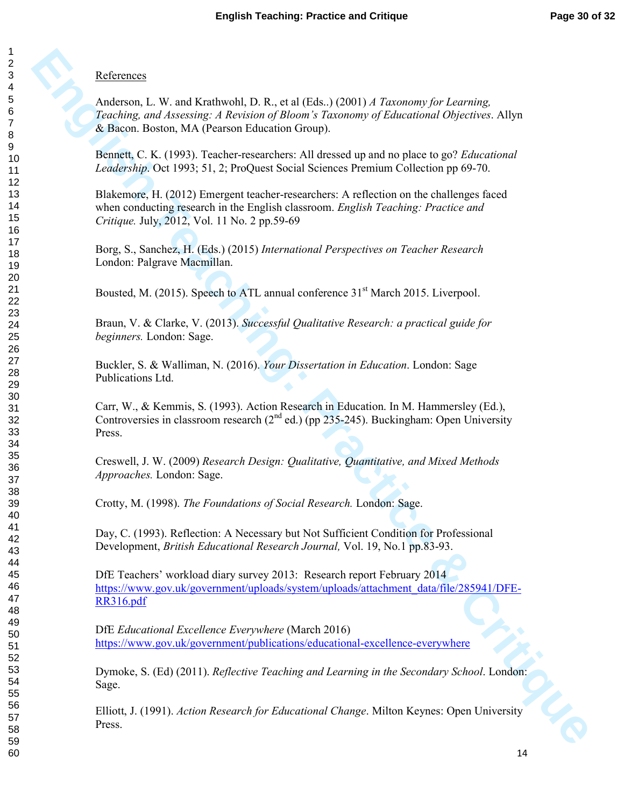### **References**

**Enfrances**<br> **Anderson, L. W. and Krathwold, D. R., et al iEda.) (2001)** *A Taxonomy for Learning***<br>
<b>Zondong and Ansonny A Areword glubes are Encomental Opposer of Educational Spectrum.** Ally<br> **E. Bractice B. (1005)** 1 ande Anderson, L. W. and Krathwohl, D. R., et al (Eds..) (2001) *A Taxonomy for Learning, Teaching, and Assessing: A Revision of Bloom's Taxonomy of Educational Objectives*. Allyn & Bacon. Boston, MA (Pearson Education Group).

Bennett, C. K. (1993). Teacher-researchers: All dressed up and no place to go? *Educational Leadership*. Oct 1993; 51, 2; ProQuest Social Sciences Premium Collection pp 69-70.

Blakemore, H. (2012) Emergent teacher-researchers: A reflection on the challenges faced when conducting research in the English classroom. *English Teaching: Practice and Critique.* July, 2012, Vol. 11 No. 2 pp.59-69

Borg, S., Sanchez, H. (Eds.) (2015) *International Perspectives on Teacher Research* London: Palgrave Macmillan.

Bousted, M. (2015). Speech to ATL annual conference 31<sup>st</sup> March 2015. Liverpool.

Braun, V. & Clarke, V. (2013). *Successful Qualitative Research: a practical guide for beginners.* London: Sage.

Buckler, S. & Walliman, N. (2016). *Your Dissertation in Education*. London: Sage Publications Ltd.

Carr, W., & Kemmis, S. (1993). Action Research in Education. In M. Hammersley (Ed.), Controversies in classroom research  $(2^{nd}$  ed.) (pp 235-245). Buckingham: Open University Press.

Creswell, J. W. (2009) *Research Design: Qualitative, Quantitative, and Mixed Methods Approaches.* London: Sage.

Crotty, M. (1998). *The Foundations of Social Research.* London: Sage.

Day, C. (1993). Reflection: A Necessary but Not Sufficient Condition for Professional Development, *British Educational Research Journal,* Vol. 19, No.1 pp.83-93.

DfE Teachers' workload diary survey 2013: Research report February 2014 https://www.gov.uk/government/uploads/system/uploads/attachment\_data/file/285941/DFE-RR316.pdf

DfE *Educational Excellence Everywhere* (March 2016) https://www.gov.uk/government/publications/educational-excellence-everywhere

Dymoke, S. (Ed) (2011). *Reflective Teaching and Learning in the Secondary School*. London: Sage.

Elliott, J. (1991). *Action Research for Educational Change*. Milton Keynes: Open University Press.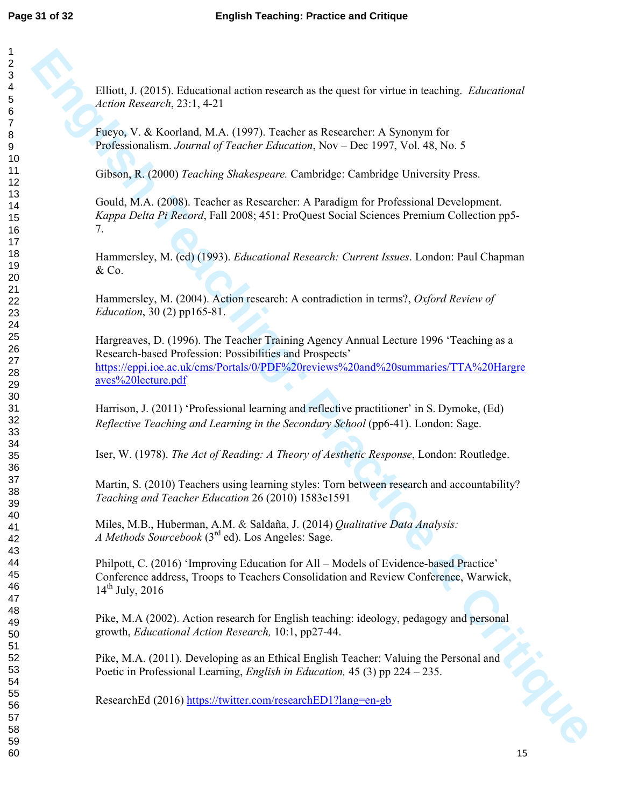Elliott, J. (2015). Educational action research as the quest for virtue in teaching. *Educational Action Research*, 23:1, 4-21

Fueyo, V. & Koorland, M.A. (1997). Teacher as Researcher: A Synonym for Professionalism. *Journal of Teacher Education*, Nov – Dec 1997, Vol. 48, No. 5

Gibson, R. (2000) *Teaching Shakespeare.* Cambridge: Cambridge University Press.

Gould, M.A. (2008). Teacher as Researcher: A Paradigm for Professional Development. *Kappa Delta Pi Record*, Fall 2008; 451: ProQuest Social Sciences Premium Collection pp5- 7.

Hammersley, M. (ed) (1993). *Educational Research: Current Issues*. London: Paul Chapman  $&Co.$ 

Hammersley, M. (2004). Action research: A contradiction in terms?, *Oxford Review of Education*, 30 (2) pp165-81.

**Elliot, J. (2015). Educational estion resurch as the quest for virtue in teaching.** *Educational***<br>Action Research, 23:1.4-21<br>
Preys, V. & Koochand, M.A. (1997). Teachier Mercuron, View Theories, V. Ca, No. 5<br>
Critics and** Hargreaves, D. (1996). The Teacher Training Agency Annual Lecture 1996 'Teaching as a Research-based Profession: Possibilities and Prospects' https://eppi.ioe.ac.uk/cms/Portals/0/PDF%20reviews%20and%20summaries/TTA%20Hargre aves%20lecture.pdf

Harrison, J. (2011) 'Professional learning and reflective practitioner' in S. Dymoke, (Ed) *Reflective Teaching and Learning in the Secondary School* (pp6-41). London: Sage.

Iser, W. (1978). *The Act of Reading: A Theory of Aesthetic Response*, London: Routledge.

Martin, S. (2010) Teachers using learning styles: Torn between research and accountability? *Teaching and Teacher Education* 26 (2010) 1583e1591

Miles, M.B., Huberman, A.M. & Saldaña, J. (2014) *Qualitative Data Analysis: A Methods Sourcebook* (3rd ed). Los Angeles: Sage.

Philpott, C. (2016) 'Improving Education for All – Models of Evidence-based Practice' Conference address, Troops to Teachers Consolidation and Review Conference, Warwick,  $14^{th}$  July, 2016

Pike, M.A (2002). Action research for English teaching: ideology, pedagogy and personal growth, *Educational Action Research,* 10:1, pp27-44.

Pike, M.A. (2011). Developing as an Ethical English Teacher: Valuing the Personal and Poetic in Professional Learning, *English in Education,* 45 (3) pp 224 – 235.

ResearchEd (2016) https://twitter.com/researchED1?lang=en-gb